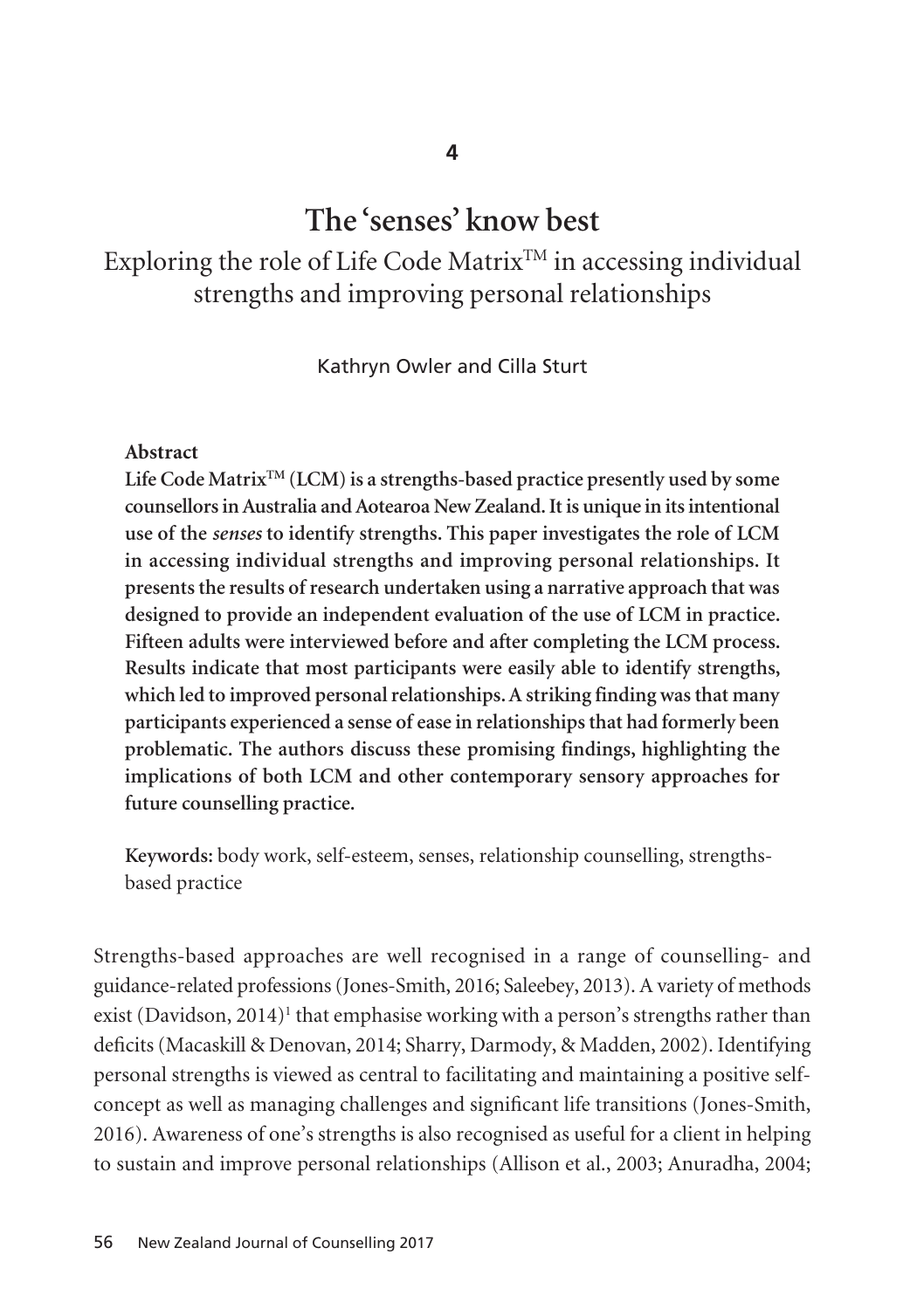# **The 'senses' know best**

Exploring the role of Life Code Matrix<sup>TM</sup> in accessing individual strengths and improving personal relationships

Kathryn Owler and Cilla Sturt

#### **Abstract**

**Life Code MatrixTM (LCM) is a strengths-based practice presently used by some counsellors in Australia and Aotearoa New Zealand. It is unique in its intentional use of the** *senses* **to identify strengths. This paper investigates the role of LCM in accessing individual strengths and improving personal relationships. It presents the results of research undertaken using a narrative approach that was designed to provide an independent evaluation of the use of LCM in practice. Fifteen adults were interviewed before and after completing the LCM process. Results indicate that most participants were easily able to identify strengths, which led to improved personal relationships. A striking finding was that many participants experienced a sense of ease in relationships that had formerly been problematic. The authors discuss these promising findings, highlighting the implications of both LCM and other contemporary sensory approaches for future counselling practice.** 

**Keywords:** body work, self-esteem, senses, relationship counselling, strengthsbased practice

Strengths-based approaches are well recognised in a range of counselling- and guidance-related professions (Jones-Smith, 2016; Saleebey, 2013). A variety of methods exist (Davidson, 2014)<sup>1</sup> that emphasise working with a person's strengths rather than deficits (Macaskill & Denovan, 2014; Sharry, Darmody, & Madden, 2002). Identifying personal strengths is viewed as central to facilitating and maintaining a positive selfconcept as well as managing challenges and significant life transitions (Jones-Smith, 2016). Awareness of one's strengths is also recognised as useful for a client in helping to sustain and improve personal relationships (Allison et al., 2003; Anuradha, 2004;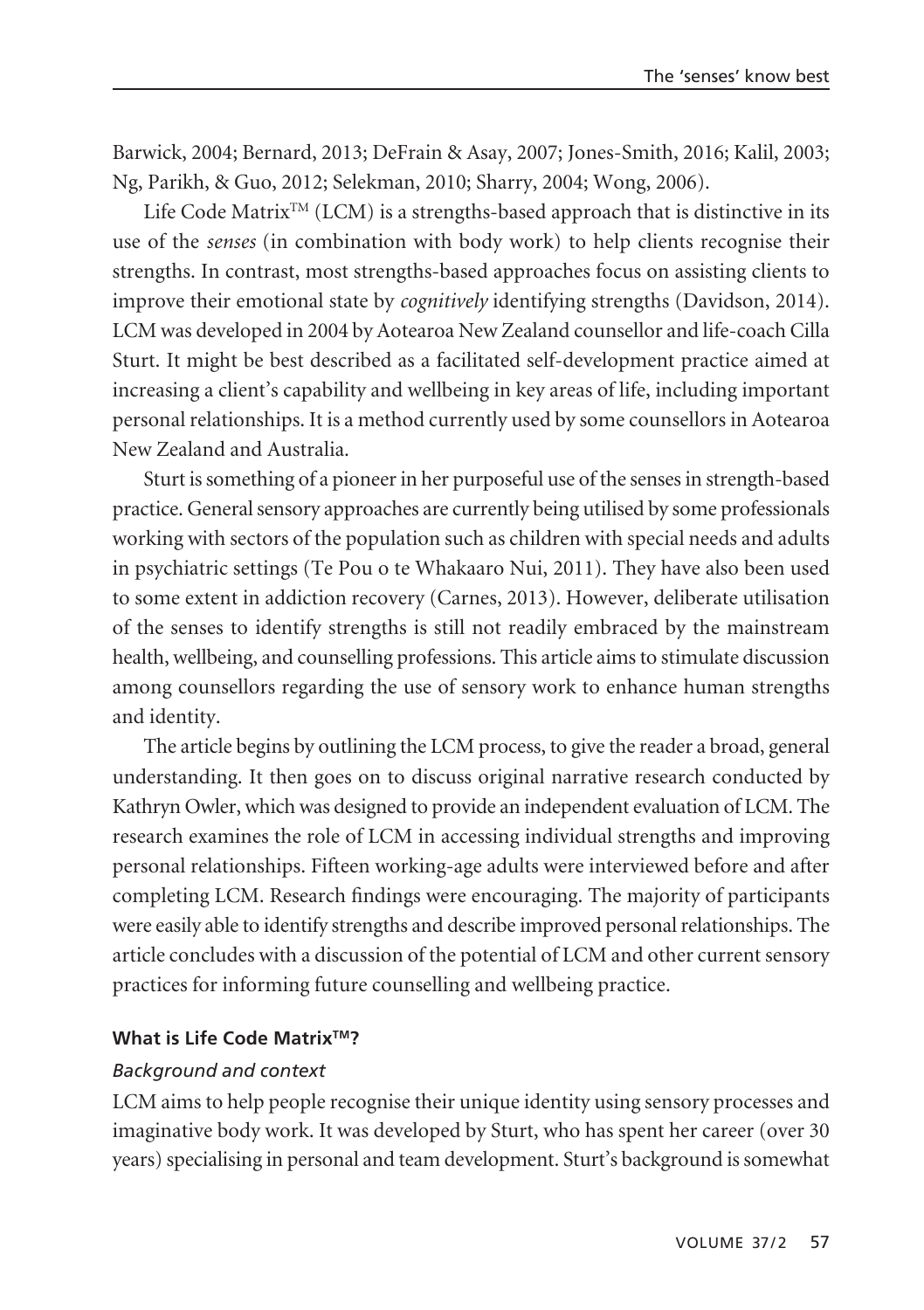Barwick, 2004; Bernard, 2013; DeFrain & Asay, 2007; Jones-Smith, 2016; Kalil, 2003; Ng, Parikh, & Guo, 2012; Selekman, 2010; Sharry, 2004; Wong, 2006).

 $\rm{Life}$  Code  $\rm{Matrix^{TM}}$  (LCM) is a strengths-based approach that is distinctive in its use of the *senses* (in combination with body work) to help clients recognise their strengths. In contrast, most strengths-based approaches focus on assisting clients to improve their emotional state by *cognitively* identifying strengths (Davidson, 2014). LCM was developed in 2004 by Aotearoa New Zealand counsellor and life-coach Cilla Sturt. It might be best described as a facilitated self-development practice aimed at increasing a client's capability and wellbeing in key areas of life, including important personal relationships. It is a method currently used by some counsellors in Aotearoa New Zealand and Australia.

Sturt is something of a pioneer in her purposeful use of the senses in strength-based practice. General sensory approaches are currently being utilised by some professionals working with sectors of the population such as children with special needs and adults in psychiatric settings (Te Pou o te Whakaaro Nui, 2011). They have also been used to some extent in addiction recovery (Carnes, 2013). However, deliberate utilisation of the senses to identify strengths is still not readily embraced by the mainstream health, wellbeing, and counselling professions. This article aims to stimulate discussion among counsellors regarding the use of sensory work to enhance human strengths and identity.

The article begins by outlining the LCM process, to give the reader a broad, general understanding. It then goes on to discuss original narrative research conducted by Kathryn Owler, which was designed to provide an independent evaluation of LCM. The research examines the role of LCM in accessing individual strengths and improving personal relationships. Fifteen working-age adults were interviewed before and after completing LCM. Research findings were encouraging. The majority of participants were easily able to identify strengths and describe improved personal relationships. The article concludes with a discussion of the potential of LCM and other current sensory practices for informing future counselling and wellbeing practice.

### **What is Life Code Matrix™?**

#### *Background and context*

LCM aims to help people recognise their unique identity using sensory processes and imaginative body work. It was developed by Sturt, who has spent her career (over 30 years) specialising in personal and team development. Sturt's background is somewhat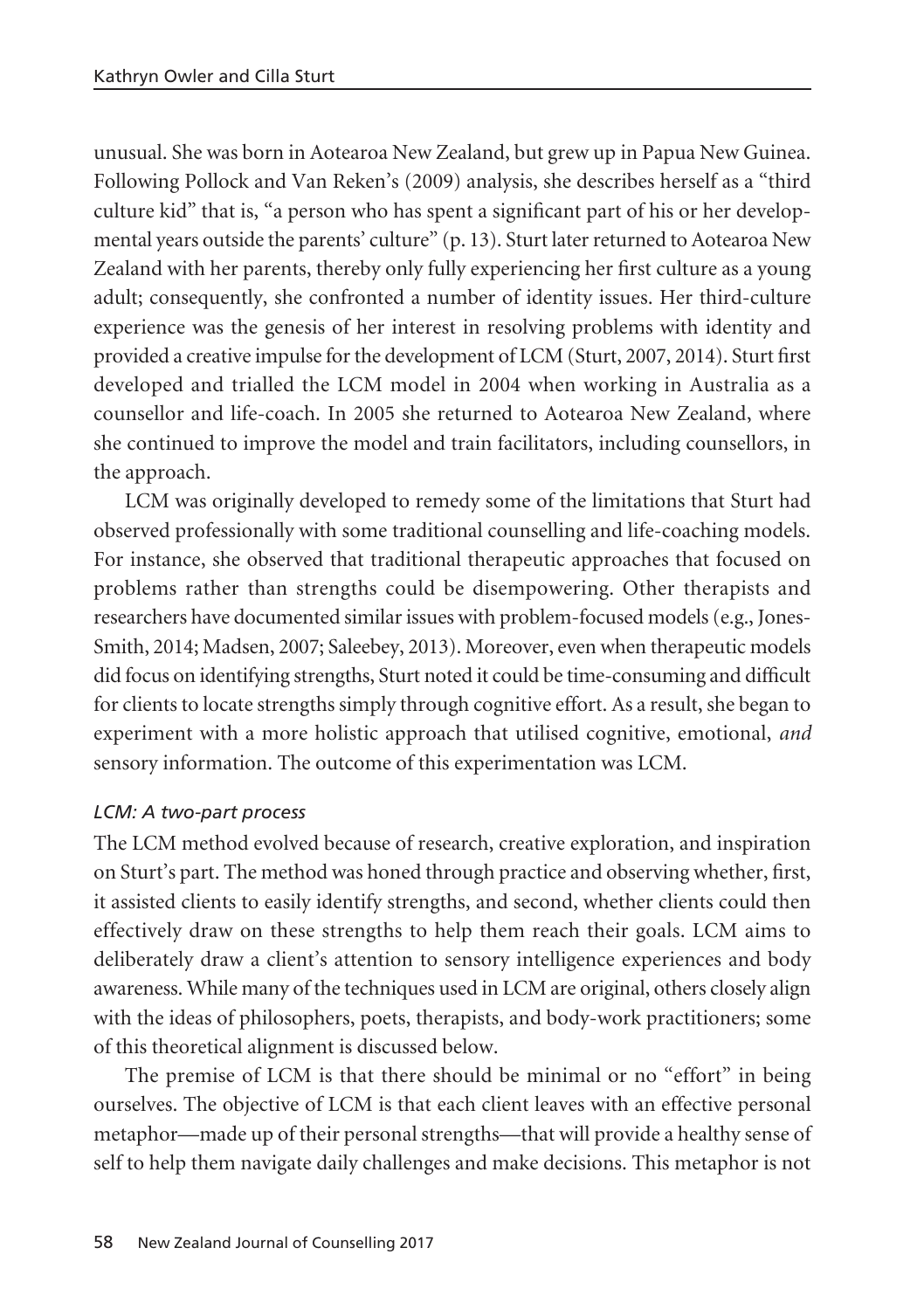unusual. She was born in Aotearoa New Zealand, but grew up in Papua New Guinea. Following Pollock and Van Reken's (2009) analysis, she describes herself as a "third culture kid" that is, "a person who has spent a significant part of his or her developmental years outside the parents' culture" (p. 13). Sturt later returned to Aotearoa New Zealand with her parents, thereby only fully experiencing her first culture as a young adult; consequently, she confronted a number of identity issues. Her third-culture experience was the genesis of her interest in resolving problems with identity and provided a creative impulse for the development of LCM (Sturt, 2007, 2014). Sturt first developed and trialled the LCM model in 2004 when working in Australia as a counsellor and life-coach. In 2005 she returned to Aotearoa New Zealand, where she continued to improve the model and train facilitators, including counsellors, in the approach.

LCM was originally developed to remedy some of the limitations that Sturt had observed professionally with some traditional counselling and life-coaching models. For instance, she observed that traditional therapeutic approaches that focused on problems rather than strengths could be disempowering. Other therapists and researchers have documented similar issues with problem-focused models (e.g., Jones-Smith, 2014; Madsen, 2007; Saleebey, 2013). Moreover, even when therapeutic models did focus on identifying strengths, Sturt noted it could be time-consuming and difficult for clients to locate strengths simply through cognitive effort. As a result, she began to experiment with a more holistic approach that utilised cognitive, emotional, *and* sensory information. The outcome of this experimentation was LCM.

# *LCM: A two-part process*

The LCM method evolved because of research, creative exploration, and inspiration on Sturt's part. The method was honed through practice and observing whether, first, it assisted clients to easily identify strengths, and second, whether clients could then effectively draw on these strengths to help them reach their goals. LCM aims to deliberately draw a client's attention to sensory intelligence experiences and body awareness. While many of the techniques used in LCM are original, others closely align with the ideas of philosophers, poets, therapists, and body-work practitioners; some of this theoretical alignment is discussed below.

The premise of LCM is that there should be minimal or no "effort" in being ourselves. The objective of LCM is that each client leaves with an effective personal metaphor—made up of their personal strengths—that will provide a healthy sense of self to help them navigate daily challenges and make decisions. This metaphor is not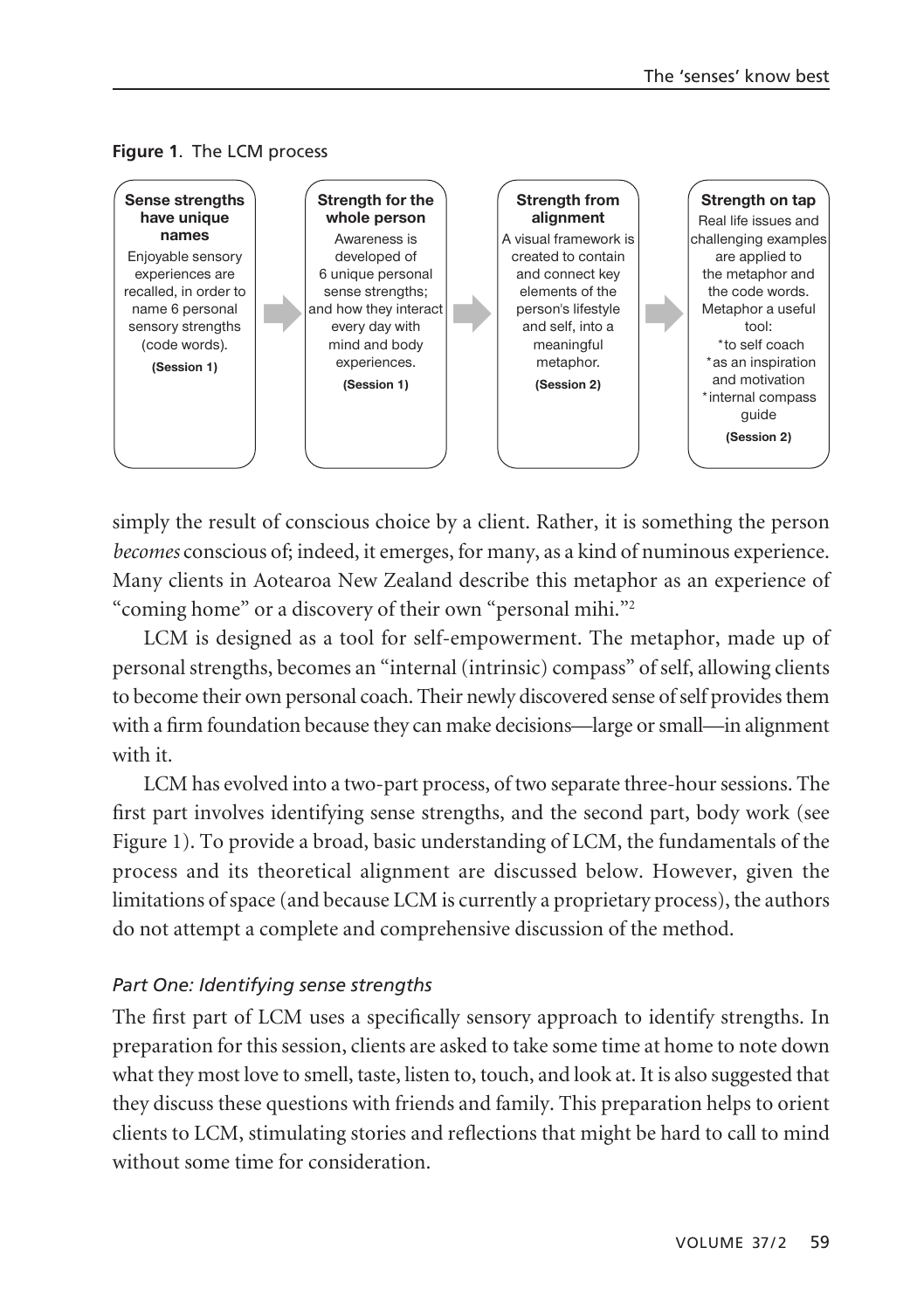

**Figure 1**. The LCM process

simply the result of conscious choice by a client. Rather, it is something the person *becomes* conscious of; indeed, it emerges, for many, as a kind of numinous experience. Many clients in Aotearoa New Zealand describe this metaphor as an experience of "coming home" or a discovery of their own "personal mihi."2

LCM is designed as a tool for self-empowerment. The metaphor, made up of personal strengths, becomes an "internal (intrinsic) compass" of self, allowing clients to become their own personal coach. Their newly discovered sense of self provides them with a firm foundation because they can make decisions—large or small—in alignment with it.

LCM has evolved into a two-part process, of two separate three-hour sessions. The first part involves identifying sense strengths, and the second part, body work (see Figure 1). To provide a broad, basic understanding of LCM, the fundamentals of the process and its theoretical alignment are discussed below. However, given the limitations of space (and because LCM is currently a proprietary process), the authors do not attempt a complete and comprehensive discussion of the method.

# *Part One: Identifying sense strengths*

The first part of LCM uses a specifically sensory approach to identify strengths. In preparation for this session, clients are asked to take some time at home to note down what they most love to smell, taste, listen to, touch, and look at. It is also suggested that they discuss these questions with friends and family. This preparation helps to orient clients to LCM, stimulating stories and reflections that might be hard to call to mind without some time for consideration.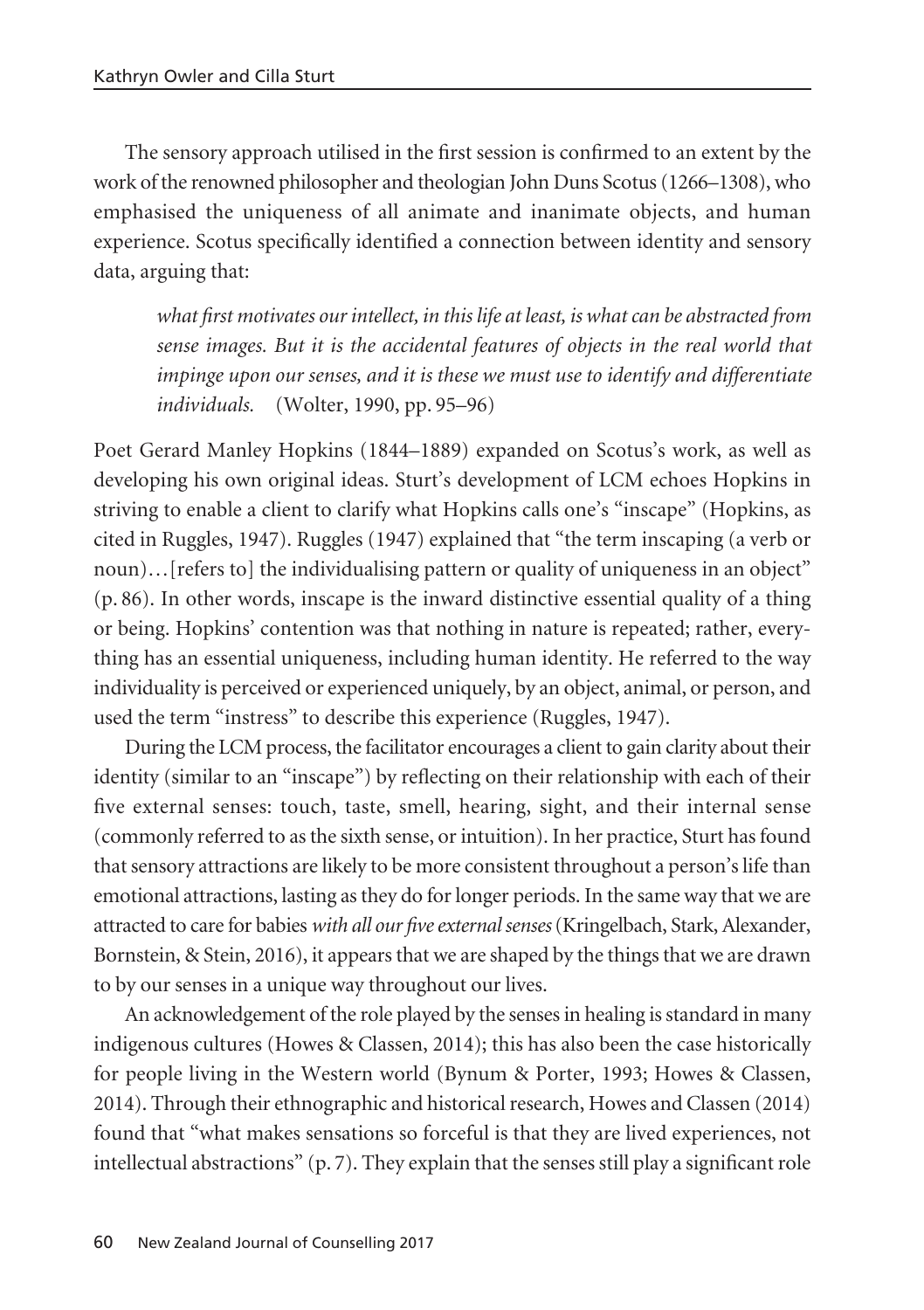The sensory approach utilised in the first session is confirmed to an extent by the work of the renowned philosopher and theologian John Duns Scotus (1266–1308), who emphasised the uniqueness of all animate and inanimate objects, and human experience. Scotus specifically identified a connection between identity and sensory data, arguing that:

*what first motivates our intellect, in this life at least, is what can be abstracted from sense images. But it is the accidental features of objects in the real world that impinge upon our senses, and it is these we must use to identify and differentiate individuals.* (Wolter, 1990, pp. 95–96)

Poet Gerard Manley Hopkins (1844–1889) expanded on Scotus's work, as well as developing his own original ideas. Sturt's development of LCM echoes Hopkins in striving to enable a client to clarify what Hopkins calls one's "inscape" (Hopkins, as cited in Ruggles, 1947). Ruggles (1947) explained that "the term inscaping (a verb or noun)…[refers to] the individualising pattern or quality of uniqueness in an object" (p. 86). In other words, inscape is the inward distinctive essential quality of a thing or being. Hopkins' contention was that nothing in nature is repeated; rather, every thing has an essential uniqueness, including human identity. He referred to the way individuality is perceived or experienced uniquely, by an object, animal, or person, and used the term "instress" to describe this experience (Ruggles, 1947).

During the LCM process, the facilitator encourages a client to gain clarity about their identity (similar to an "inscape") by reflecting on their relationship with each of their five external senses: touch, taste, smell, hearing, sight, and their internal sense (commonly referred to as the sixth sense, or intuition). In her practice, Sturt has found that sensory attractions are likely to be more consistent throughout a person's life than emotional attractions, lasting as they do for longer periods. In the same way that we are attracted to care for babies *with all our five external senses*(Kringelbach, Stark, Alexander, Bornstein, & Stein, 2016), it appears that we are shaped by the things that we are drawn to by our senses in a unique way throughout our lives.

An acknowledgement of the role played by the senses in healing is standard in many indigenous cultures (Howes & Classen, 2014); this has also been the case historically for people living in the Western world (Bynum & Porter, 1993; Howes & Classen, 2014). Through their ethnographic and historical research, Howes and Classen (2014) found that "what makes sensations so forceful is that they are lived experiences, not intellectual abstractions"  $(p, 7)$ . They explain that the senses still play a significant role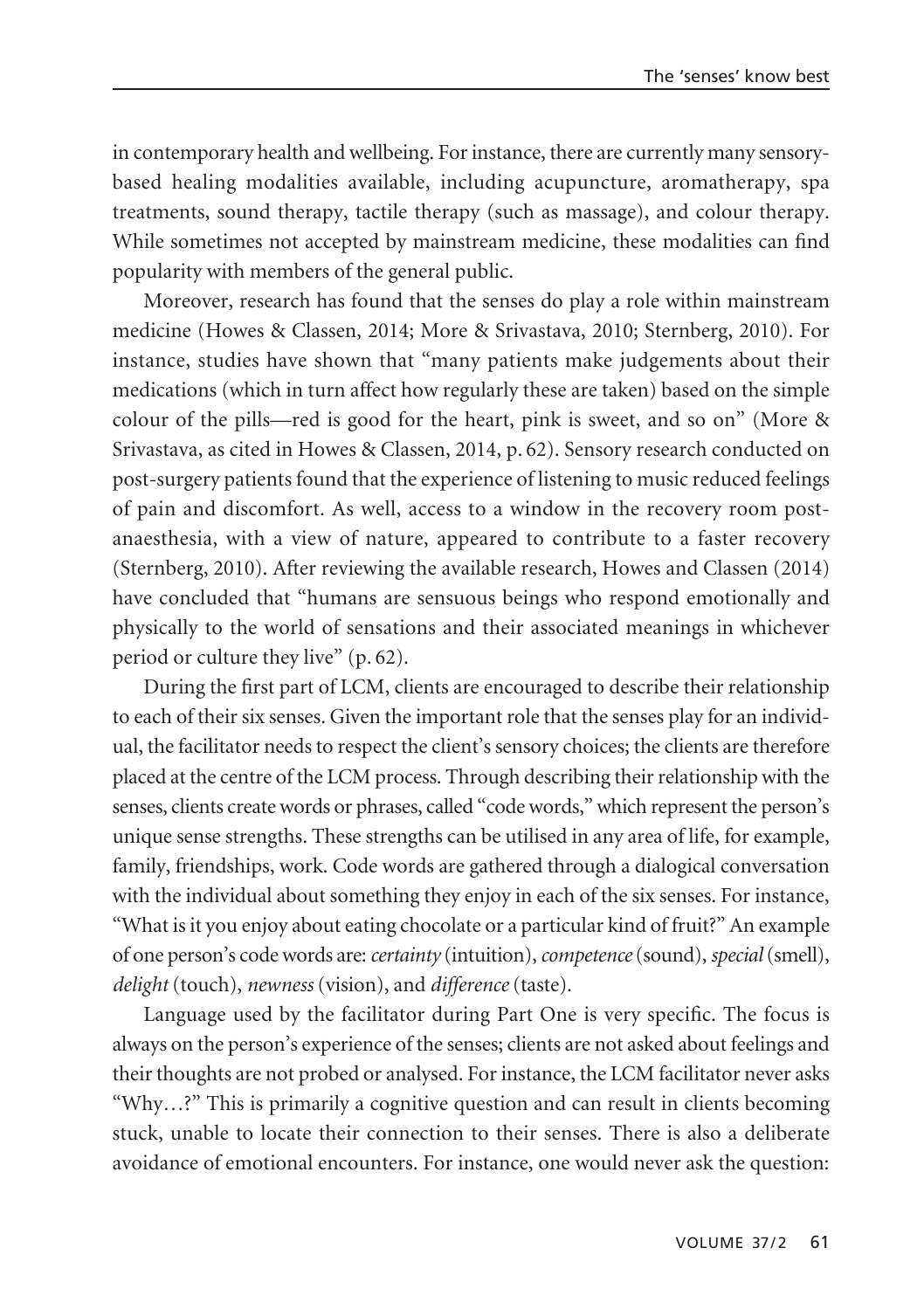in contemporary health and wellbeing. For instance, there are currently many sensorybased healing modalities available, including acupuncture, aromatherapy, spa treatments, sound therapy, tactile therapy (such as massage), and colour therapy. While sometimes not accepted by mainstream medicine, these modalities can find popularity with members of the general public.

Moreover, research has found that the senses do play a role within mainstream medicine (Howes & Classen, 2014; More & Srivastava, 2010; Sternberg, 2010). For instance, studies have shown that "many patients make judgements about their medications (which in turn affect how regularly these are taken) based on the simple colour of the pills—red is good for the heart, pink is sweet, and so on" (More & Srivastava, as cited in Howes & Classen, 2014, p. 62). Sensory research conducted on post-surgery patients found that the experience of listening to music reduced feelings of pain and discomfort. As well, access to a window in the recovery room postanaesthesia, with a view of nature, appeared to contribute to a faster recovery (Sternberg, 2010). After reviewing the available research, Howes and Classen (2014) have concluded that "humans are sensuous beings who respond emotionally and physically to the world of sensations and their associated meanings in whichever period or culture they live" (p. 62).

During the first part of LCM, clients are encouraged to describe their relationship to each of their six senses. Given the important role that the senses play for an individual, the facilitator needs to respect the client's sensory choices; the clients are therefore placed at the centre of the LCM process. Through describing their relationship with the senses, clients create words or phrases, called "code words," which represent the person's unique sense strengths. These strengths can be utilised in any area of life, for example, family, friendships, work. Code words are gathered through a dialogical conversation with the individual about something they enjoy in each of the six senses. For instance, "What is it you enjoy about eating chocolate or a particular kind of fruit?" An example of one person's code words are: *certainty* (intuition), *competence*(sound), *special*(smell), *delight* (touch), *newness* (vision), and *difference* (taste).

Language used by the facilitator during Part One is very specific. The focus is always on the person's experience of the senses; clients are not asked about feelings and their thoughts are not probed or analysed. For instance, the LCM facilitator never asks "Why…?" This is primarily a cognitive question and can result in clients becoming stuck, unable to locate their connection to their senses. There is also a deliberate avoidance of emotional encounters. For instance, one would never ask the question: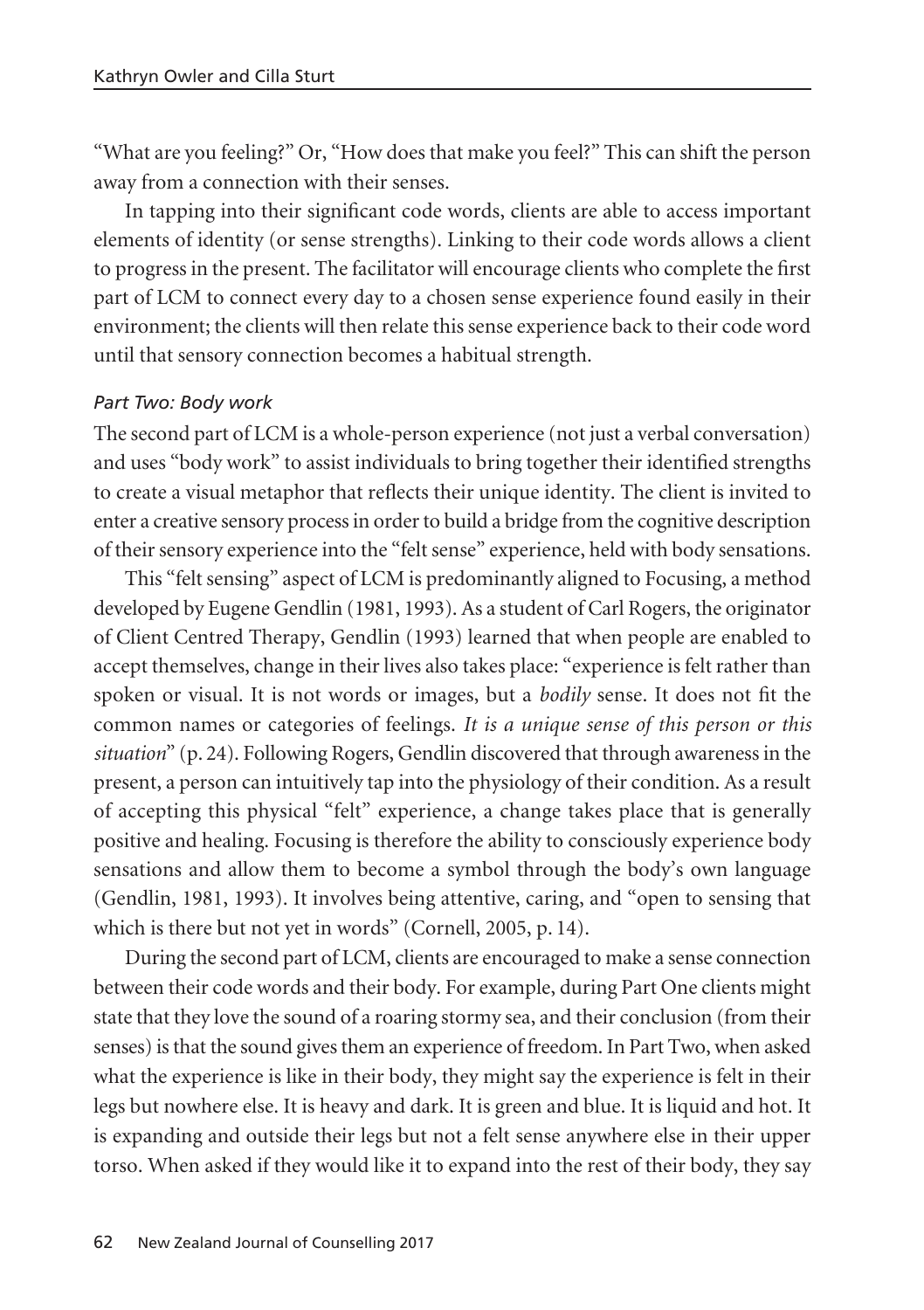"What are you feeling?" Or, "How does that make you feel?" This can shift the person away from a connection with their senses.

In tapping into their significant code words, clients are able to access important elements of identity (or sense strengths). Linking to their code words allows a client to progress in the present. The facilitator will encourage clients who complete the first part of LCM to connect every day to a chosen sense experience found easily in their environment; the clients will then relate this sense experience back to their code word until that sensory connection becomes a habitual strength.

### *Part Two: Body work*

The second part of LCM is a whole-person experience (not just a verbal conversation) and uses "body work" to assist individuals to bring together their identified strengths to create a visual metaphor that reflects their unique identity. The client is invited to enter a creative sensory process in order to build a bridge from the cognitive description of their sensory experience into the "felt sense" experience, held with body sensations.

This "felt sensing" aspect of LCM is predominantly aligned to Focusing, a method developed by Eugene Gendlin (1981, 1993). As a student of Carl Rogers, the originator of Client Centred Therapy, Gendlin (1993) learned that when people are enabled to accept themselves, change in their lives also takes place: "experience is felt rather than spoken or visual. It is not words or images, but a *bodily* sense. It does not fit the common names or categories of feelings. *It is a unique sense of this person or this situation*" (p. 24). Following Rogers, Gendlin discovered that through awareness in the present, a person can intuitively tap into the physiology of their condition. As a result of accepting this physical "felt" experience, a change takes place that is generally positive and healing. Focusing is therefore the ability to consciously experience body sensations and allow them to become a symbol through the body's own language (Gendlin, 1981, 1993). It involves being attentive, caring, and "open to sensing that which is there but not yet in words" (Cornell, 2005, p. 14).

During the second part of LCM, clients are encouraged to make a sense connection between their code words and their body. For example, during Part One clients might state that they love the sound of a roaring stormy sea, and their conclusion (from their senses) is that the sound gives them an experience of freedom. In Part Two, when asked what the experience is like in their body, they might say the experience is felt in their legs but nowhere else. It is heavy and dark. It is green and blue. It is liquid and hot. It is expanding and outside their legs but not a felt sense anywhere else in their upper torso. When asked if they would like it to expand into the rest of their body, they say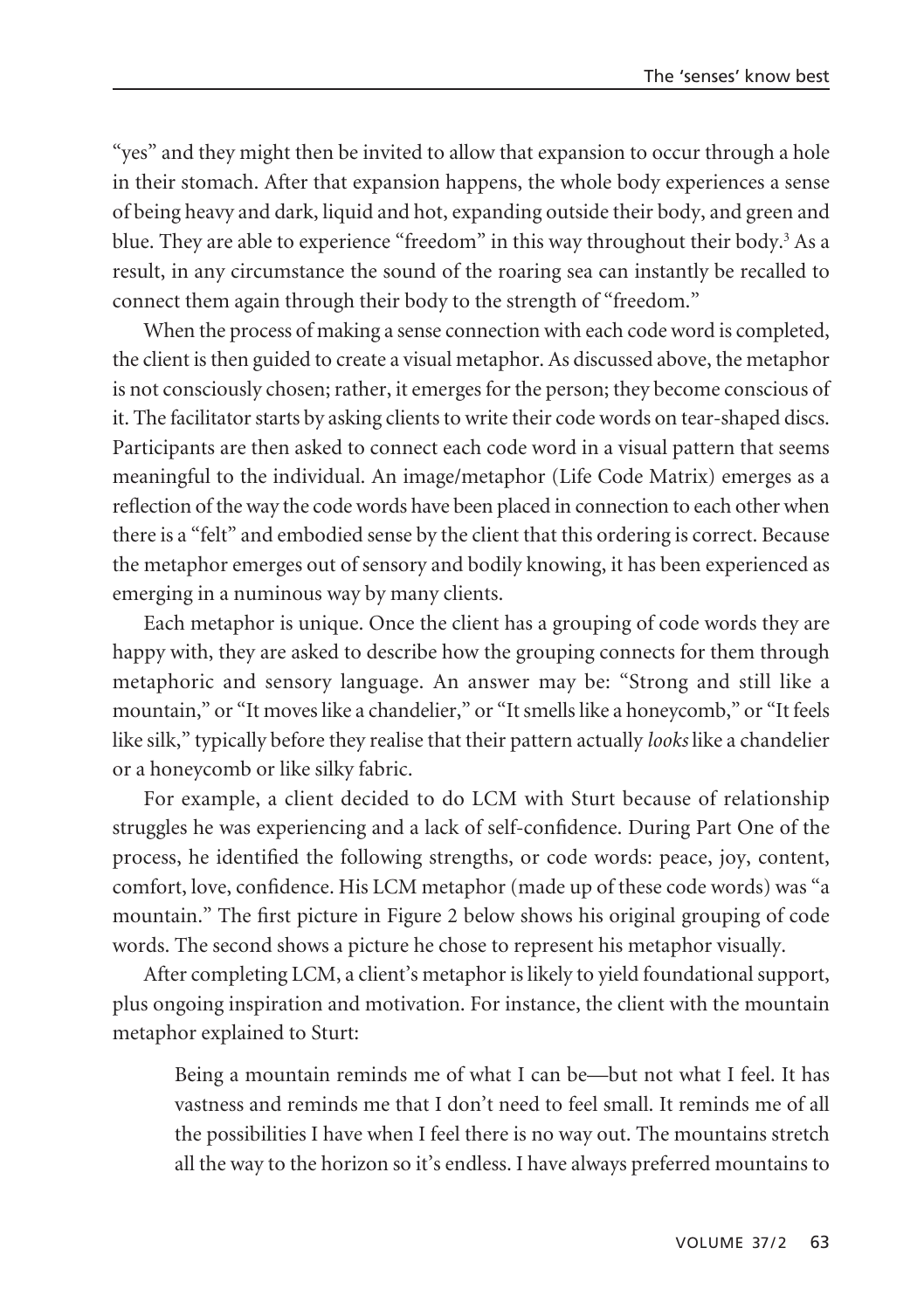"yes" and they might then be invited to allow that expansion to occur through a hole in their stomach. After that expansion happens, the whole body experiences a sense of being heavy and dark, liquid and hot, expanding outside their body, and green and blue. They are able to experience "freedom" in this way throughout their body.<sup>3</sup> As a result, in any circumstance the sound of the roaring sea can instantly be recalled to connect them again through their body to the strength of "freedom."

When the process of making a sense connection with each code word is completed, the client is then guided to create a visual metaphor. As discussed above, the metaphor is not consciously chosen; rather, it emerges for the person; they become conscious of it. The facilitator starts by asking clients to write their code words on tear-shaped discs. Participants are then asked to connect each code word in a visual pattern that seems meaningful to the individual. An image/metaphor (Life Code Matrix) emerges as a reflection of the way the code words have been placed in connection to each other when there is a "felt" and embodied sense by the client that this ordering is correct. Because the metaphor emerges out of sensory and bodily knowing, it has been experienced as emerging in a numinous way by many clients.

Each metaphor is unique. Once the client has a grouping of code words they are happy with, they are asked to describe how the grouping connects for them through metaphoric and sensory language. An answer may be: "Strong and still like a mountain," or "It moves like a chandelier," or "It smells like a honeycomb," or "It feels like silk," typically before they realise that their pattern actually *looks* like a chandelier or a honeycomb or like silky fabric.

For example, a client decided to do LCM with Sturt because of relationship struggles he was experiencing and a lack of self-confidence. During Part One of the process, he identified the following strengths, or code words: peace, joy, content, comfort, love, confidence. His LCM metaphor (made up of these code words) was "a mountain." The first picture in Figure 2 below shows his original grouping of code words. The second shows a picture he chose to represent his metaphor visually.

After completing LCM, a client's metaphor is likely to yield foundational support, plus ongoing inspiration and motivation. For instance, the client with the mountain metaphor explained to Sturt:

Being a mountain reminds me of what I can be—but not what I feel. It has vastness and reminds me that I don't need to feel small. It reminds me of all the possibilities I have when I feel there is no way out. The mountains stretch all the way to the horizon so it's endless. I have always preferred mountains to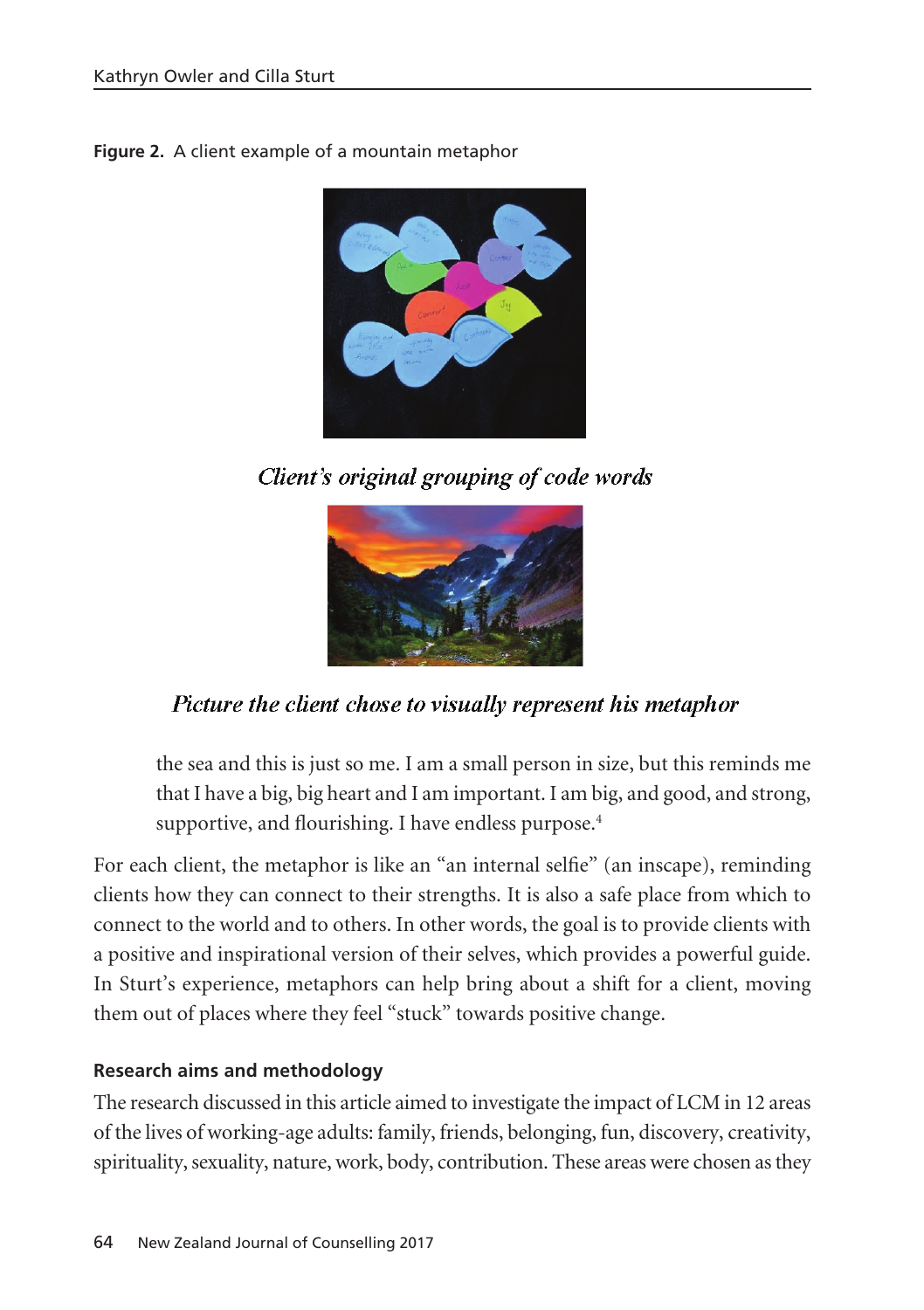**Figure 2.** A client example of a mountain metaphor



Client's original grouping of code words



# Picture the client chose to visually represent his metaphor

the sea and this is just so me. I am a small person in size, but this reminds me that I have a big, big heart and I am important. I am big, and good, and strong, supportive, and flourishing. I have endless purpose.<sup>4</sup>

For each client, the metaphor is like an "an internal selfie" (an inscape), reminding clients how they can connect to their strengths. It is also a safe place from which to connect to the world and to others. In other words, the goal is to provide clients with a positive and inspirational version of their selves, which provides a powerful guide. In Sturt's experience, metaphors can help bring about a shift for a client, moving them out of places where they feel "stuck" towards positive change.

### **Research aims and methodology**

The research discussed in this article aimed to investigate the impact of LCM in 12 areas of the lives of working-age adults: family, friends, belonging, fun, discovery, creativity, spirituality, sexuality, nature, work, body, contribution. These areas were chosen as they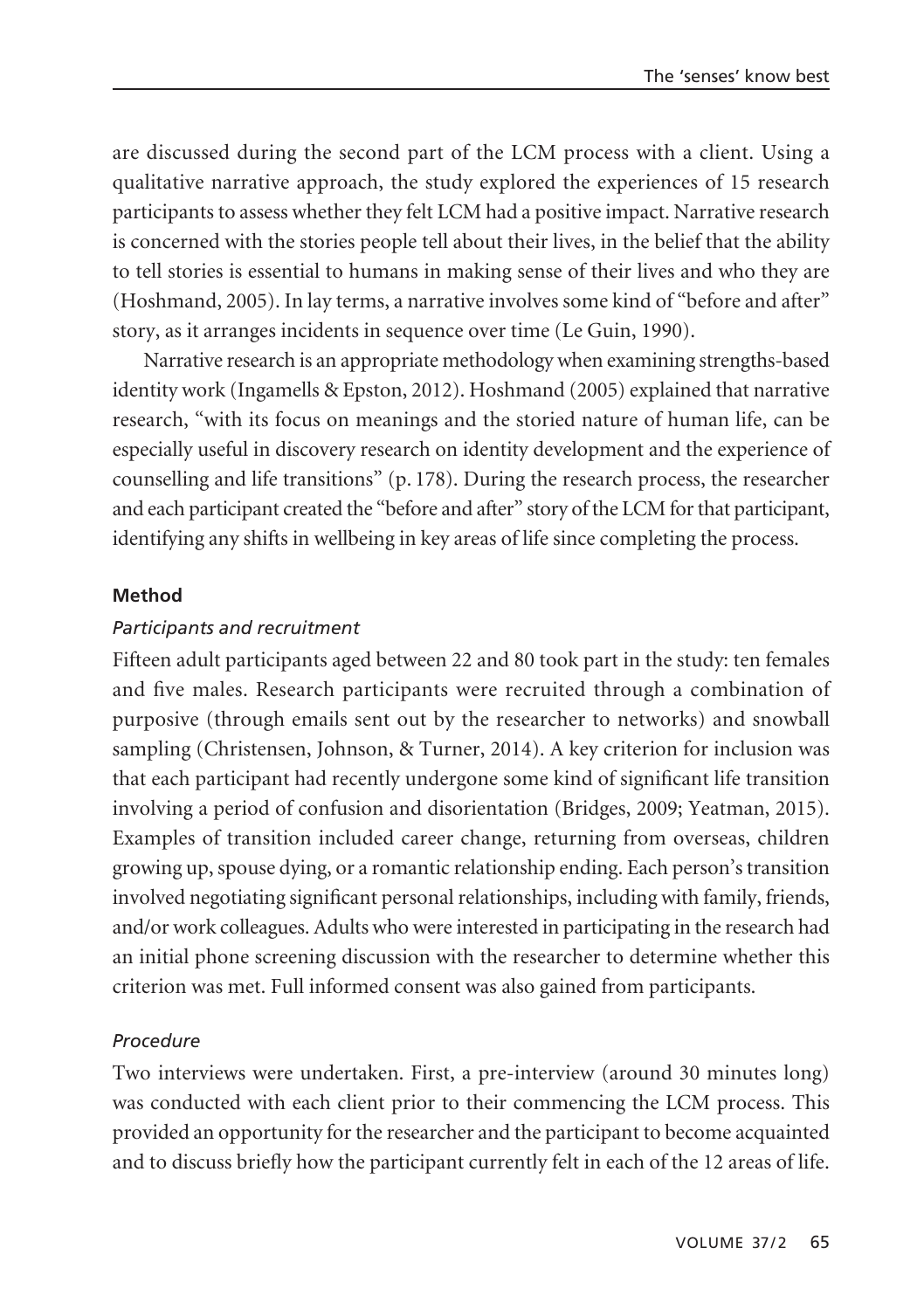are discussed during the second part of the LCM process with a client. Using a qualitative narrative approach, the study explored the experiences of 15 research participants to assess whether they felt LCM had a positive impact. Narrative research is concerned with the stories people tell about their lives, in the belief that the ability to tell stories is essential to humans in making sense of their lives and who they are (Hoshmand, 2005). In lay terms, a narrative involves some kind of "before and after" story, as it arranges incidents in sequence over time (Le Guin, 1990).

Narrative research is an appropriate methodology when examining strengths-based identity work (Ingamells & Epston, 2012). Hoshmand (2005) explained that narrative research, "with its focus on meanings and the storied nature of human life, can be especially useful in discovery research on identity development and the experience of counselling and life transitions" (p. 178). During the research process, the researcher and each participant created the "before and after" story of the LCM for that participant, identifying any shifts in wellbeing in key areas of life since completing the process.

### **Method**

### *Participants and recruitment*

Fifteen adult participants aged between 22 and 80 took part in the study: ten females and five males. Research participants were recruited through a combination of purposive (through emails sent out by the researcher to networks) and snowball sampling (Christensen, Johnson, & Turner, 2014). A key criterion for inclusion was that each participant had recently undergone some kind of significant life transition involving a period of confusion and disorientation (Bridges, 2009; Yeatman, 2015). Examples of transition included career change, returning from overseas, children growing up, spouse dying, or a romantic relationship ending. Each person's transition involved negotiating significant personal relationships, including with family, friends, and/or work colleagues. Adults who were interested in participating in the research had an initial phone screening discussion with the researcher to determine whether this criterion was met. Full informed consent was also gained from participants.

### *Procedure*

Two interviews were undertaken. First, a pre-interview (around 30 minutes long) was conducted with each client prior to their commencing the LCM process. This provided an opportunity for the researcher and the participant to become acquainted and to discuss briefly how the participant currently felt in each of the 12 areas of life.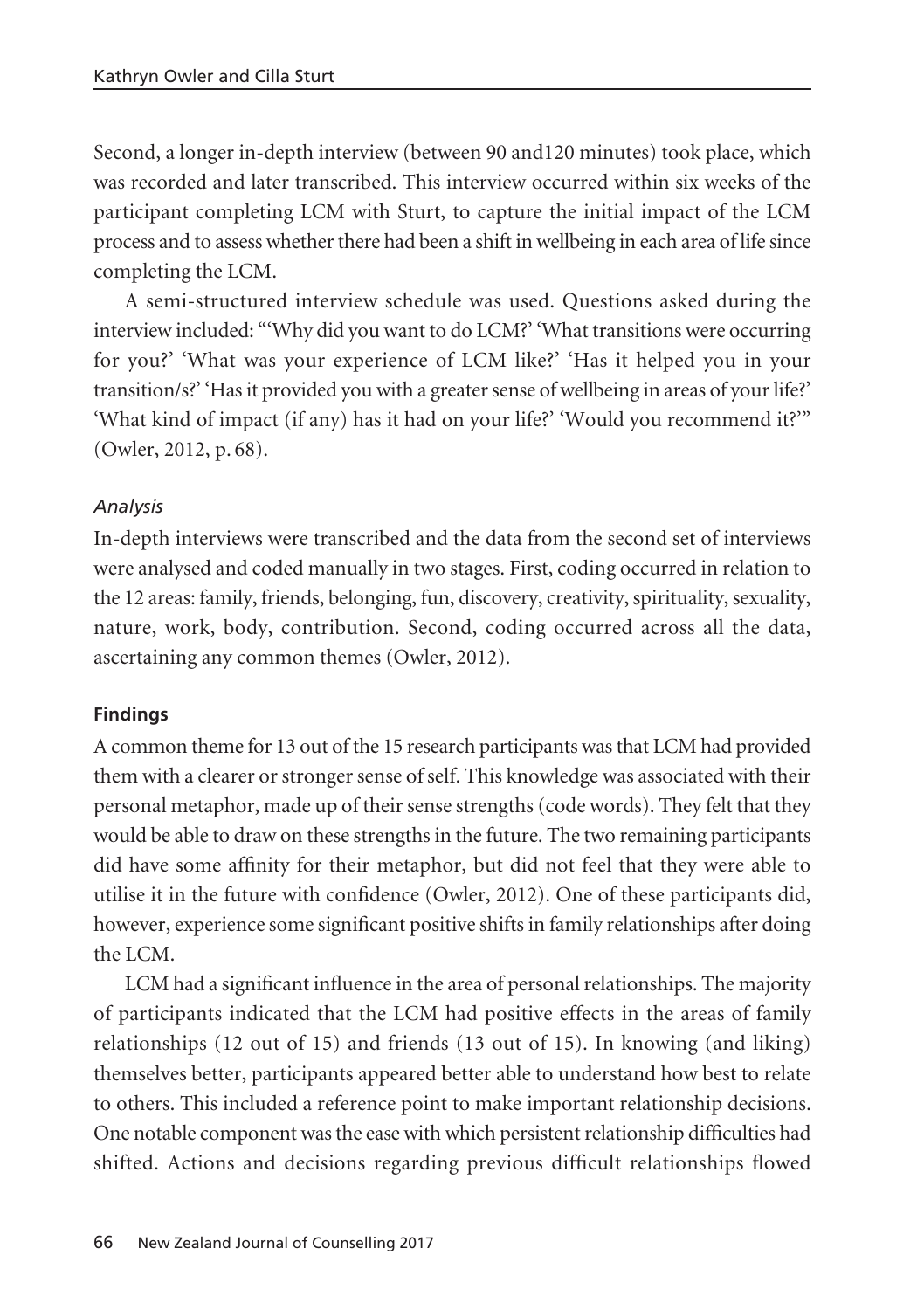Second, a longer in-depth interview (between 90 and120 minutes) took place, which was recorded and later transcribed. This interview occurred within six weeks of the participant completing LCM with Sturt, to capture the initial impact of the LCM process and to assess whether there had been a shift in wellbeing in each area of life since completing the LCM.

A semi-structured interview schedule was used. Questions asked during the interview included: "'Why did you want to do LCM?' 'What transitions were occurring for you?' 'What was your experience of LCM like?' 'Has it helped you in your transition/s?' 'Has it provided you with a greater sense of wellbeing in areas of your life?' 'What kind of impact (if any) has it had on your life?' 'Would you recommend it?'" (Owler, 2012, p. 68).

# *Analysis*

In-depth interviews were transcribed and the data from the second set of interviews were analysed and coded manually in two stages. First, coding occurred in relation to the 12 areas: family, friends, belonging, fun, discovery, creativity, spirituality, sexuality, nature, work, body, contribution. Second, coding occurred across all the data, ascertaining any common themes (Owler, 2012).

# **Findings**

A common theme for 13 out of the 15 research participants was that LCM had provided them with a clearer or stronger sense of self. This knowledge was associated with their personal metaphor, made up of their sense strengths (code words). They felt that they would be able to draw on these strengths in the future. The two remaining participants did have some affinity for their metaphor, but did not feel that they were able to utilise it in the future with confidence (Owler, 2012). One of these participants did, however, experience some significant positive shifts in family relationships after doing the LCM.

LCM had a significant influence in the area of personal relationships. The majority of participants indicated that the LCM had positive effects in the areas of family relationships (12 out of 15) and friends (13 out of 15). In knowing (and liking) themselves better, participants appeared better able to understand how best to relate to others. This included a reference point to make important relationship decisions. One notable component was the ease with which persistent relationship difficulties had shifted. Actions and decisions regarding previous difficult relationships flowed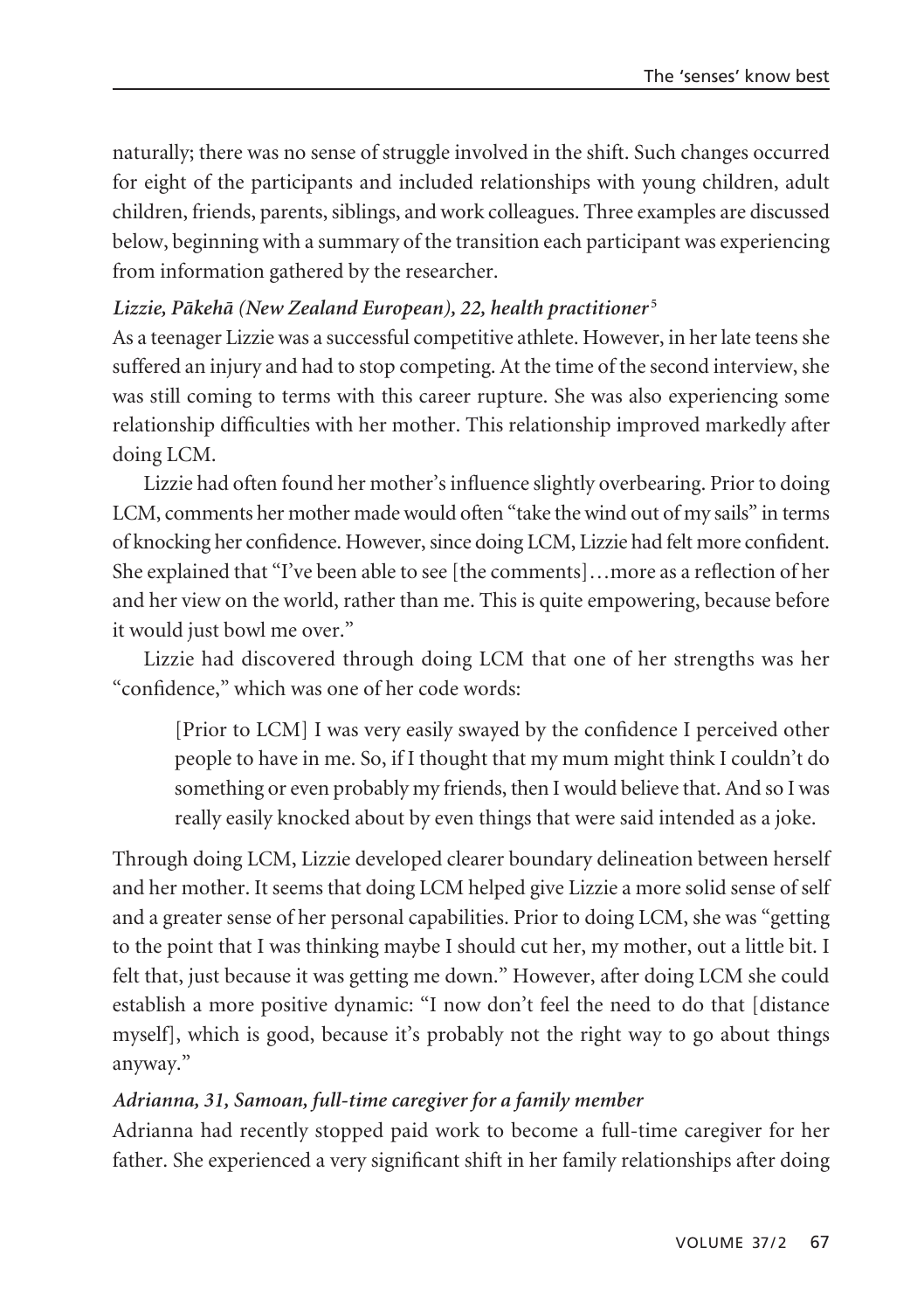naturally; there was no sense of struggle involved in the shift. Such changes occurred for eight of the participants and included relationships with young children, adult children, friends, parents, siblings, and work colleagues. Three examples are discussed below, beginning with a summary of the transition each participant was experiencing from information gathered by the researcher.

### *Lizzie, Päkehä (New Zealand European), 22, health practitioner* **<sup>5</sup>**

As a teenager Lizzie was a successful competitive athlete. However, in her late teens she suffered an injury and had to stop competing. At the time of the second interview, she was still coming to terms with this career rupture. She was also experiencing some relationship difficulties with her mother. This relationship improved markedly after doing LCM.

Lizzie had often found her mother's influence slightly overbearing. Prior to doing LCM, comments her mother made would often "take the wind out of my sails" in terms of knocking her confidence. However, since doing LCM, Lizzie had felt more confident. She explained that "I've been able to see [the comments]…more as a reflection of her and her view on the world, rather than me. This is quite empowering, because before it would just bowl me over."

Lizzie had discovered through doing LCM that one of her strengths was her "confidence," which was one of her code words:

[Prior to LCM] I was very easily swayed by the confidence I perceived other people to have in me. So, if I thought that my mum might think I couldn't do something or even probably my friends, then I would believe that. And so I was really easily knocked about by even things that were said intended as a joke.

Through doing LCM, Lizzie developed clearer boundary delineation between herself and her mother. It seems that doing LCM helped give Lizzie a more solid sense of self and a greater sense of her personal capabilities. Prior to doing LCM, she was "getting to the point that I was thinking maybe I should cut her, my mother, out a little bit. I felt that, just because it was getting me down." However, after doing LCM she could establish a more positive dynamic: "I now don't feel the need to do that [distance myself], which is good, because it's probably not the right way to go about things anyway."

# *Adrianna, 31, Samoan, full-time caregiver for a family member*

Adrianna had recently stopped paid work to become a full-time caregiver for her father. She experienced a very significant shift in her family relationships after doing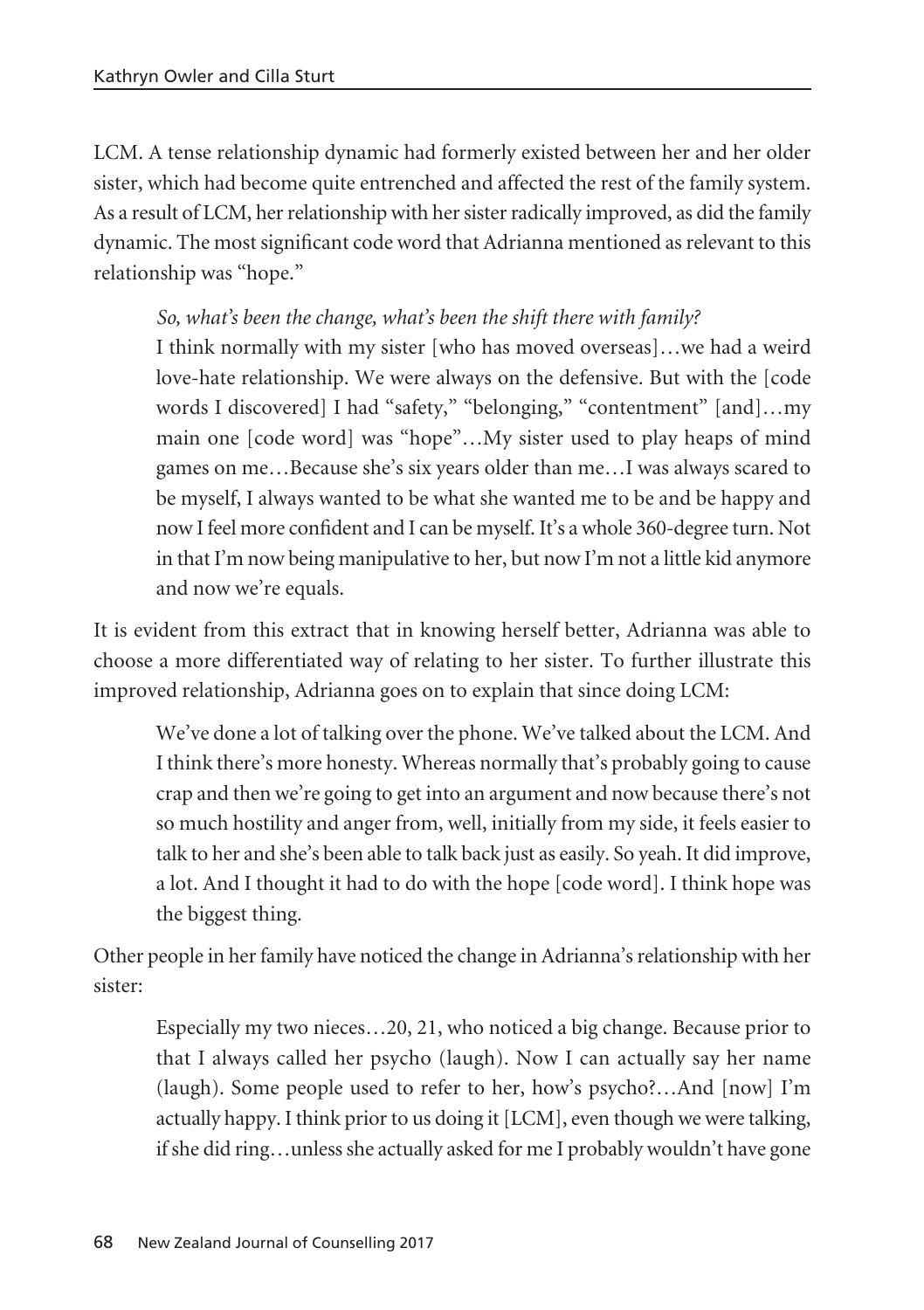LCM. A tense relationship dynamic had formerly existed between her and her older sister, which had become quite entrenched and affected the rest of the family system. As a result of LCM, her relationship with her sister radically improved, as did the family dynamic. The most significant code word that Adrianna mentioned as relevant to this relationship was "hope."

*So, what's been the change, what's been the shift there with family?*

I think normally with my sister [who has moved overseas]…we had a weird love-hate relationship. We were always on the defensive. But with the [code words I discovered] I had "safety," "belonging," "contentment" [and]...my main one [code word] was "hope"…My sister used to play heaps of mind games on me…Because she's six years older than me…I was always scared to be myself, I always wanted to be what she wanted me to be and be happy and now I feel more confident and I can be myself. It's a whole 360-degree turn. Not in that I'm now being manipulative to her, but now I'm not a little kid anymore and now we're equals.

It is evident from this extract that in knowing herself better, Adrianna was able to choose a more differentiated way of relating to her sister. To further illustrate this improved relationship, Adrianna goes on to explain that since doing LCM:

We've done a lot of talking over the phone. We've talked about the LCM. And I think there's more honesty. Whereas normally that's probably going to cause crap and then we're going to get into an argument and now because there's not so much hostility and anger from, well, initially from my side, it feels easier to talk to her and she's been able to talk back just as easily. So yeah. It did improve, a lot. And I thought it had to do with the hope [code word]. I think hope was the biggest thing.

Other people in her family have noticed the change in Adrianna's relationship with her sister:

Especially my two nieces…20, 21, who noticed a big change. Because prior to that I always called her psycho (laugh). Now I can actually say her name (laugh). Some people used to refer to her, how's psycho?…And [now] I'm actually happy. I think prior to us doing it [LCM], even though we were talking, if she did ring…unless she actually asked for me I probably wouldn't have gone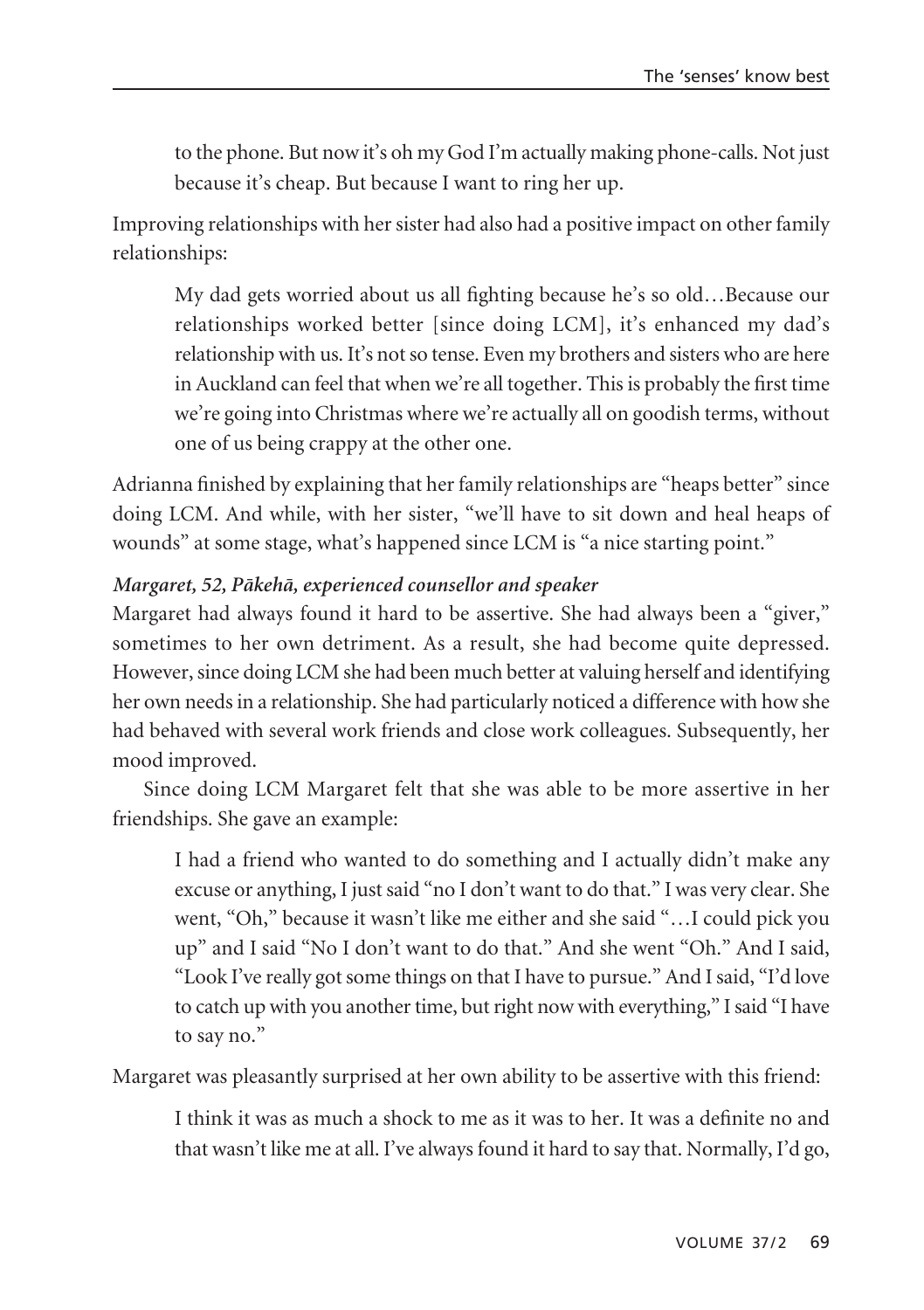to the phone. But now it's oh my God I'm actually making phone-calls. Not just because it's cheap. But because I want to ring her up.

Improving relationships with her sister had also had a positive impact on other family relationships:

My dad gets worried about us all fighting because he's so old…Because our relationships worked better [since doing LCM], it's enhanced my dad's relationship with us. It's not so tense. Even my brothers and sisters who are here in Auckland can feel that when we're all together. This is probably the first time we're going into Christmas where we're actually all on goodish terms, without one of us being crappy at the other one.

Adrianna finished by explaining that her family relationships are "heaps better" since doing LCM. And while, with her sister, "we'll have to sit down and heal heaps of wounds" at some stage, what's happened since LCM is "a nice starting point."

### *Margaret, 52, Päkehä, experienced counsellor and speaker*

Margaret had always found it hard to be assertive. She had always been a "giver," sometimes to her own detriment. As a result, she had become quite depressed. However, since doing LCM she had been much better at valuing herself and identifying her own needs in a relationship. She had particularly noticed a difference with how she had behaved with several work friends and close work colleagues. Subsequently, her mood improved.

Since doing LCM Margaret felt that she was able to be more assertive in her friendships. She gave an example:

I had a friend who wanted to do something and I actually didn't make any excuse or anything, I just said "no I don't want to do that." I was very clear. She went, "Oh," because it wasn't like me either and she said "…I could pick you up" and I said "No I don't want to do that." And she went "Oh." And I said, "Look I've really got some things on that I have to pursue." And I said, "I'd love to catch up with you another time, but right now with everything," I said "I have to say no."

Margaret was pleasantly surprised at her own ability to be assertive with this friend:

I think it was as much a shock to me as it was to her. It was a definite no and that wasn't like me at all. I've always found it hard to say that. Normally, I'd go,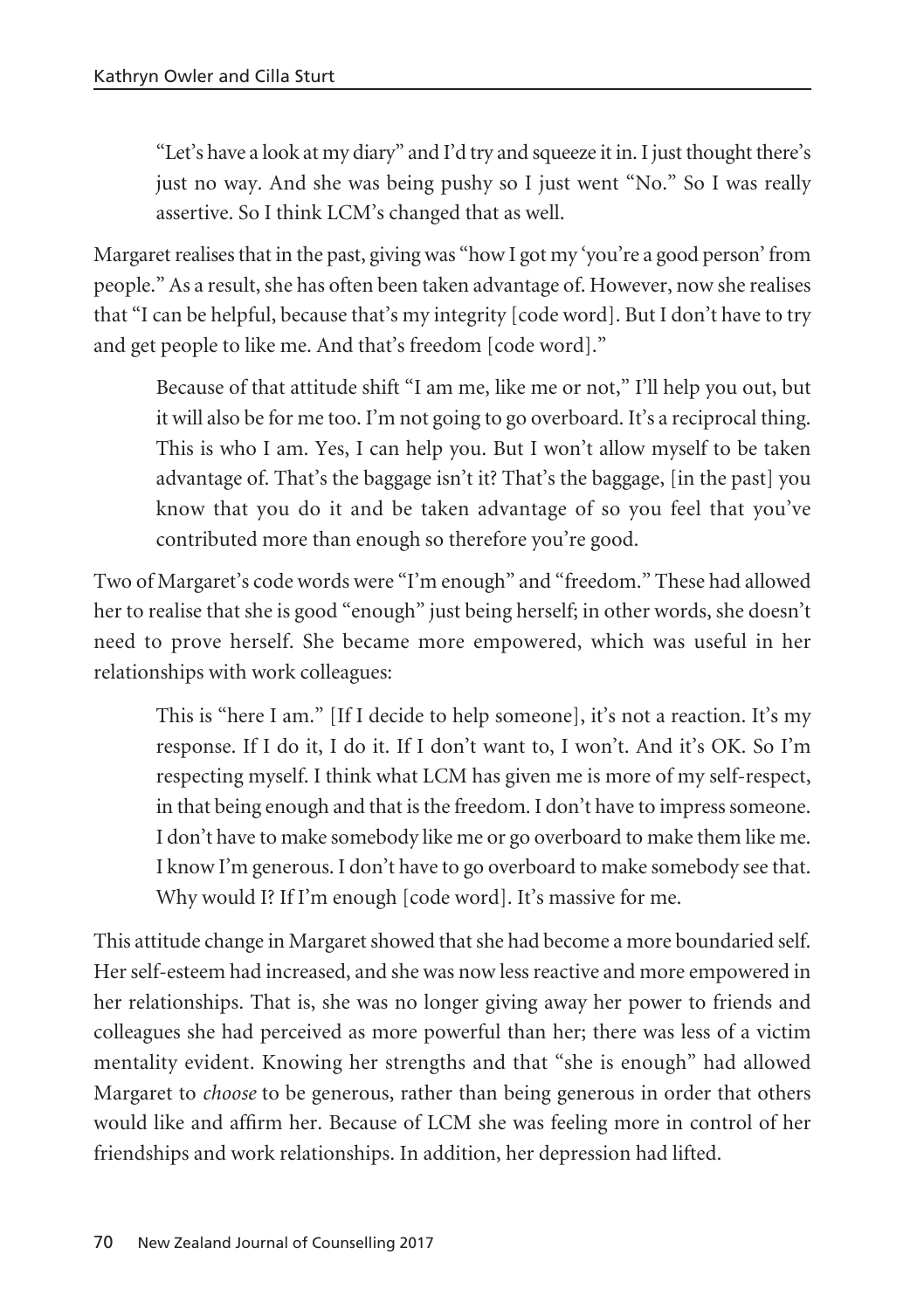"Let's have a look at my diary" and I'd try and squeeze it in. I just thought there's just no way. And she was being pushy so I just went "No." So I was really assertive. So I think LCM's changed that as well.

Margaret realises that in the past, giving was "how I got my 'you're a good person' from people." As a result, she has often been taken advantage of. However, now she realises that "I can be helpful, because that's my integrity [code word]. But I don't have to try and get people to like me. And that's freedom [code word]."

Because of that attitude shift "I am me, like me or not," I'll help you out, but it will also be for me too. I'm not going to go overboard. It's a reciprocal thing. This is who I am. Yes, I can help you. But I won't allow myself to be taken advantage of. That's the baggage isn't it? That's the baggage, [in the past] you know that you do it and be taken advantage of so you feel that you've contributed more than enough so therefore you're good.

Two of Margaret's code words were "I'm enough" and "freedom." These had allowed her to realise that she is good "enough" just being herself; in other words, she doesn't need to prove herself. She became more empowered, which was useful in her relationships with work colleagues:

This is "here I am." [If I decide to help someone], it's not a reaction. It's my response. If I do it, I do it. If I don't want to, I won't. And it's OK. So I'm respecting myself. I think what LCM has given me is more of my self-respect, in that being enough and that is the freedom. I don't have to impress someone. I don't have to make somebody like me or go overboard to make them like me. I know I'm generous. I don't have to go overboard to make somebody see that. Why would I? If I'm enough [code word]. It's massive for me.

This attitude change in Margaret showed that she had become a more boundaried self. Her self-esteem had increased, and she was now less reactive and more empowered in her relationships. That is, she was no longer giving away her power to friends and colleagues she had perceived as more powerful than her; there was less of a victim mentality evident. Knowing her strengths and that "she is enough" had allowed Margaret to *choose* to be generous, rather than being generous in order that others would like and affirm her. Because of LCM she was feeling more in control of her friendships and work relationships. In addition, her depression had lifted.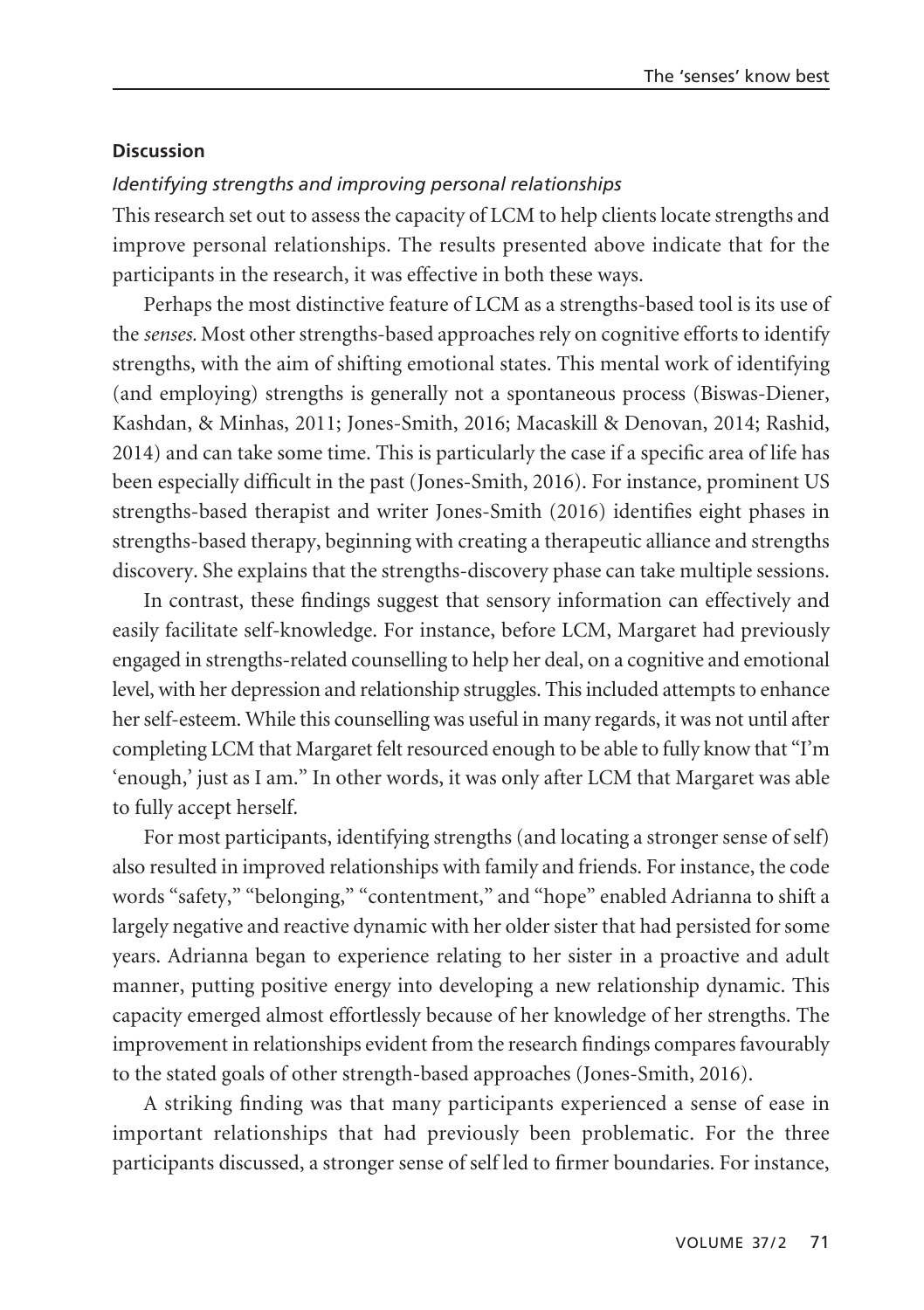#### **Discussion**

#### *Identifying strengths and improving personal relationships*

This research set out to assess the capacity of LCM to help clients locate strengths and improve personal relationships. The results presented above indicate that for the participants in the research, it was effective in both these ways.

Perhaps the most distinctive feature of LCM as a strengths-based tool is its use of the *senses.* Most other strengths-based approaches rely on cognitive efforts to identify strengths, with the aim of shifting emotional states. This mental work of identifying (and employing) strengths is generally not a spontaneous process (Biswas-Diener, Kashdan, & Minhas, 2011; Jones-Smith, 2016; Macaskill & Denovan, 2014; Rashid, 2014) and can take some time. This is particularly the case if a specific area of life has been especially difficult in the past (Jones-Smith, 2016). For instance, prominent US strengths-based therapist and writer Jones-Smith (2016) identifies eight phases in strengths-based therapy, beginning with creating a therapeutic alliance and strengths discovery. She explains that the strengths-discovery phase can take multiple sessions.

In contrast, these findings suggest that sensory information can effectively and easily facilitate self-knowledge. For instance, before LCM, Margaret had previously engaged in strengths-related counselling to help her deal, on a cognitive and emotional level, with her depression and relationship struggles. This included attempts to enhance her self-esteem. While this counselling was useful in many regards, it was not until after completing LCM that Margaret felt resourced enough to be able to fully know that "I'm 'enough,' just as I am." In other words, it was only after LCM that Margaret was able to fully accept herself.

For most participants, identifying strengths (and locating a stronger sense of self) also resulted in improved relationships with family and friends. For instance, the code words "safety," "belonging," "contentment," and "hope" enabled Adrianna to shift a largely negative and reactive dynamic with her older sister that had persisted for some years. Adrianna began to experience relating to her sister in a proactive and adult manner, putting positive energy into developing a new relationship dynamic. This capacity emerged almost effortlessly because of her knowledge of her strengths. The improvement in relationships evident from the research findings compares favourably to the stated goals of other strength-based approaches (Jones-Smith, 2016).

A striking finding was that many participants experienced a sense of ease in important relationships that had previously been problematic. For the three participants discussed, a stronger sense of self led to firmer boundaries. For instance,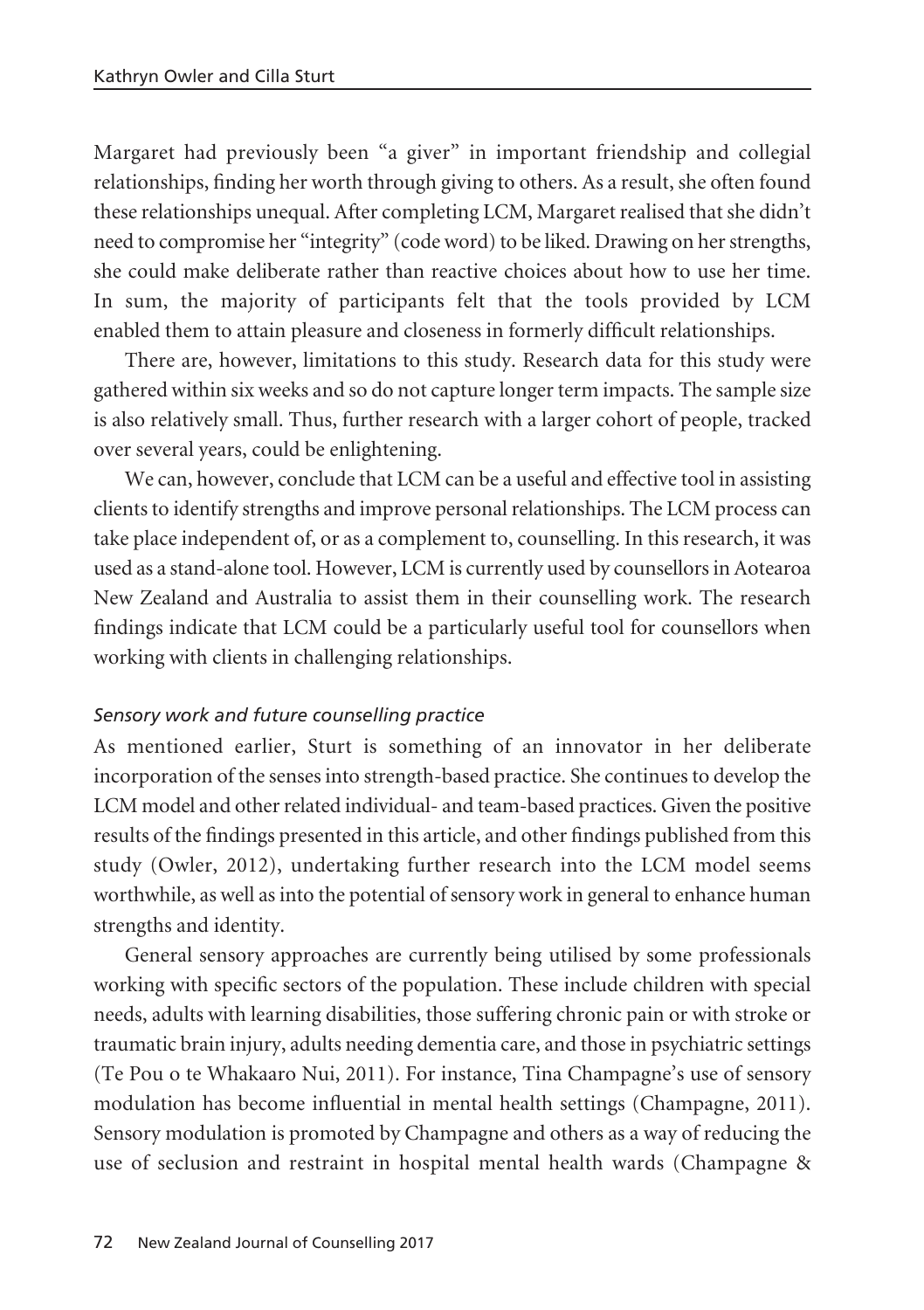Margaret had previously been "a giver" in important friendship and collegial relationships, finding her worth through giving to others. As a result, she often found these relationships unequal. After completing LCM, Margaret realised that she didn't need to compromise her "integrity" (code word) to be liked. Drawing on her strengths, she could make deliberate rather than reactive choices about how to use her time. In sum, the majority of participants felt that the tools provided by LCM enabled them to attain pleasure and closeness in formerly difficult relationships.

There are, however, limitations to this study. Research data for this study were gathered within six weeks and so do not capture longer term impacts. The sample size is also relatively small. Thus, further research with a larger cohort of people, tracked over several years, could be enlightening.

We can, however, conclude that LCM can be a useful and effective tool in assisting clients to identify strengths and improve personal relationships. The LCM process can take place independent of, or as a complement to, counselling. In this research, it was used as a stand-alone tool. However, LCM is currently used by counsellors in Aotearoa New Zealand and Australia to assist them in their counselling work. The research findings indicate that LCM could be a particularly useful tool for counsellors when working with clients in challenging relationships.

### *Sensory work and future counselling practice*

As mentioned earlier, Sturt is something of an innovator in her deliberate incorporation of the senses into strength-based practice. She continues to develop the LCM model and other related individual- and team-based practices. Given the positive results of the findings presented in this article, and other findings published from this study (Owler, 2012), undertaking further research into the LCM model seems worthwhile, as well as into the potential of sensory work in general to enhance human strengths and identity.

General sensory approaches are currently being utilised by some professionals working with specific sectors of the population. These include children with special needs, adults with learning disabilities, those suffering chronic pain or with stroke or traumatic brain injury, adults needing dementia care, and those in psychiatric settings (Te Pou o te Whakaaro Nui, 2011). For instance, Tina Champagne's use of sensory modulation has become influential in mental health settings (Champagne, 2011). Sensory modulation is promoted by Champagne and others as a way of reducing the use of seclusion and restraint in hospital mental health wards (Champagne &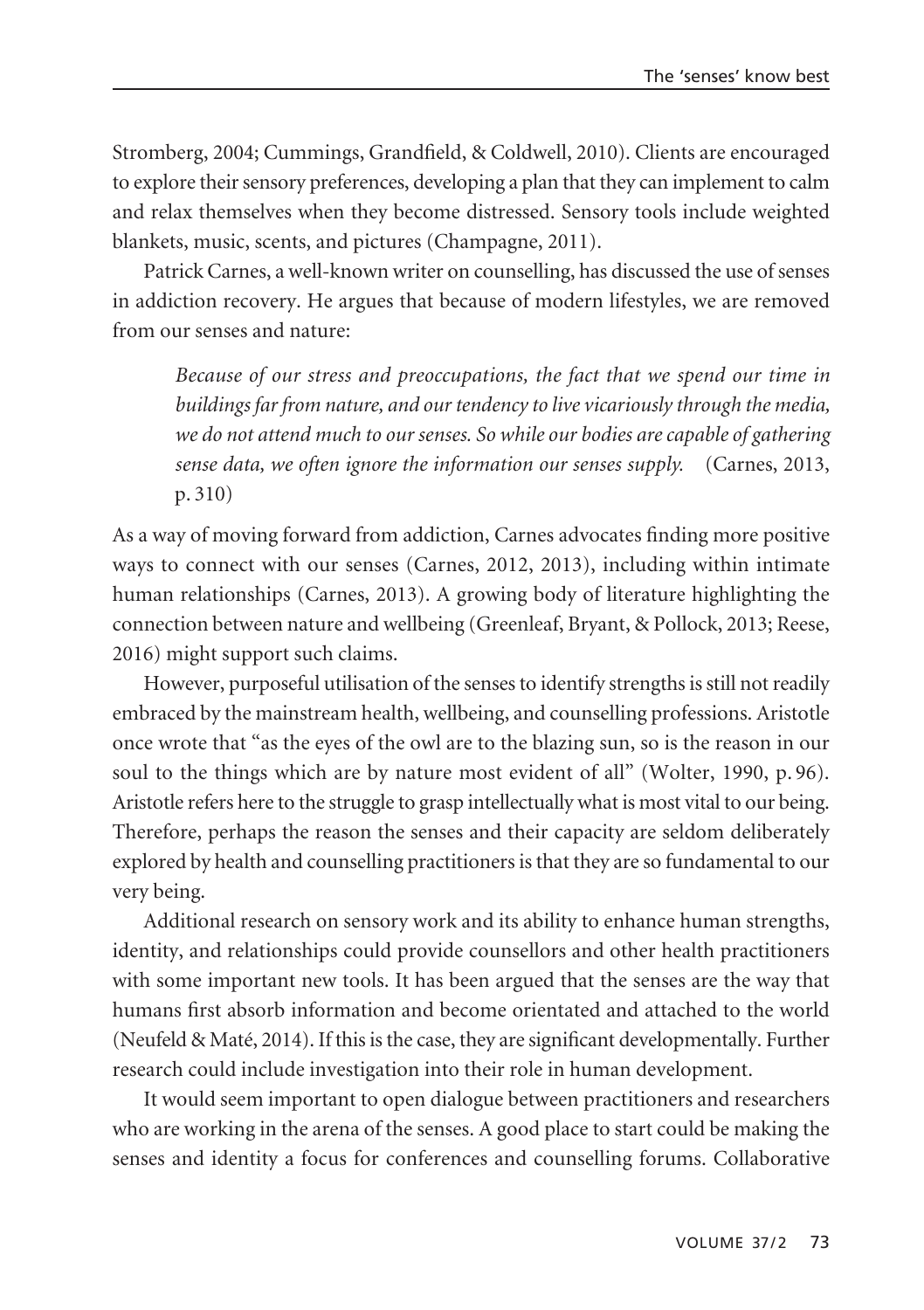Stromberg, 2004; Cummings, Grandfield, & Coldwell, 2010). Clients are encouraged to explore their sensory preferences, developing a plan that they can implement to calm and relax themselves when they become distressed. Sensory tools include weighted blankets, music, scents, and pictures (Champagne, 2011).

Patrick Carnes, a well-known writer on counselling, has discussed the use of senses in addiction recovery. He argues that because of modern lifestyles, we are removed from our senses and nature:

*Because of our stress and preoccupations, the fact that we spend our time in buildings far from nature, and our tendency to live vicariously through the media, we do not attend much to our senses. So while our bodies are capable of gathering sense data, we often ignore the information our senses supply.* (Carnes, 2013, p. 310)

As a way of moving forward from addiction, Carnes advocates finding more positive ways to connect with our senses (Carnes, 2012, 2013), including within intimate human relationships (Carnes, 2013). A growing body of literature highlighting the connection between nature and wellbeing (Greenleaf, Bryant, & Pollock, 2013; Reese, 2016) might support such claims.

However, purposeful utilisation of the senses to identify strengths is still not readily embraced by the mainstream health, wellbeing, and counselling professions. Aristotle once wrote that "as the eyes of the owl are to the blazing sun, so is the reason in our soul to the things which are by nature most evident of all" (Wolter, 1990, p. 96). Aristotle refers here to the struggle to grasp intellectually what is most vital to our being. Therefore, perhaps the reason the senses and their capacity are seldom deliberately explored by health and counselling practitioners is that they are so fundamental to our very being.

Additional research on sensory work and its ability to enhance human strengths, identity, and relationships could provide counsellors and other health practitioners with some important new tools. It has been argued that the senses are the way that humans first absorb information and become orientated and attached to the world (Neufeld & Maté, 2014). If this is the case, they are significant developmentally. Further research could include investigation into their role in human development.

It would seem important to open dialogue between practitioners and researchers who are working in the arena of the senses. A good place to start could be making the senses and identity a focus for conferences and counselling forums. Collaborative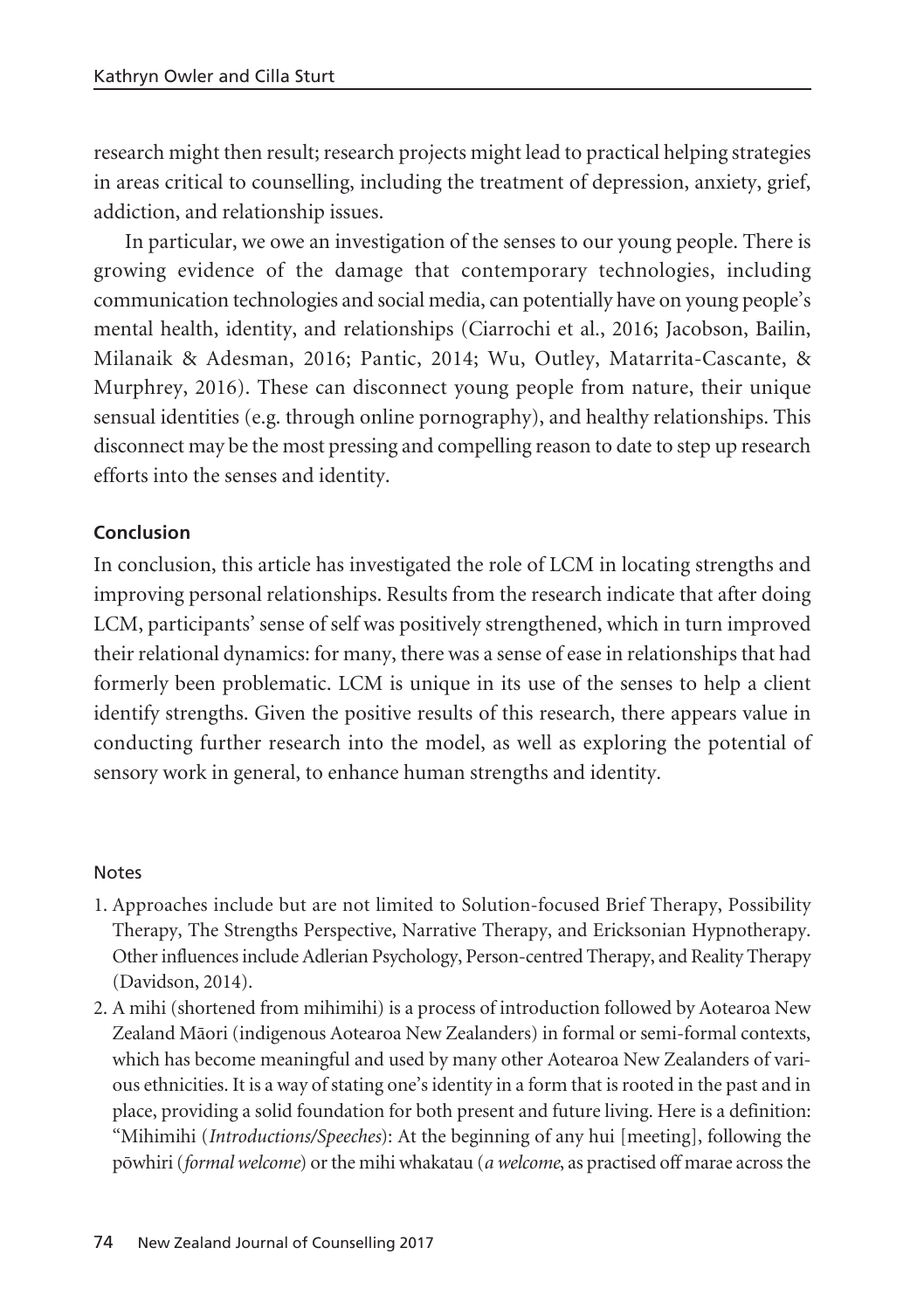research might then result; research projects might lead to practical helping strategies in areas critical to counselling, including the treatment of depression, anxiety, grief, addiction, and relationship issues.

In particular, we owe an investigation of the senses to our young people. There is growing evidence of the damage that contemporary technologies, including communication technologies and social media, can potentially have on young people's mental health, identity, and relationships (Ciarrochi et al., 2016; Jacobson, Bailin, Milanaik & Adesman, 2016; Pantic, 2014; Wu, Outley, Matarrita-Cascante, & Murphrey, 2016). These can disconnect young people from nature, their unique sensual identities (e.g. through online pornography), and healthy relationships. This disconnect may be the most pressing and compelling reason to date to step up research efforts into the senses and identity.

### **Conclusion**

In conclusion, this article has investigated the role of LCM in locating strengths and improving personal relationships. Results from the research indicate that after doing LCM, participants' sense of self was positively strengthened, which in turn improved their relational dynamics: for many, there was a sense of ease in relationships that had formerly been problematic. LCM is unique in its use of the senses to help a client identify strengths. Given the positive results of this research, there appears value in conducting further research into the model, as well as exploring the potential of sensory work in general, to enhance human strengths and identity.

#### Notes

- 1. Approaches include but are not limited to Solution-focused Brief Therapy, Possibility Therapy, The Strengths Perspective, Narrative Therapy, and Ericksonian Hypnotherapy. Other influences include Adlerian Psychology, Person-centred Therapy, and Reality Therapy (Davidson, 2014).
- 2. A mihi (shortened from mihimihi) is a process of introduction followed by Aotearoa New Zealand Mäori (indigenous Aotearoa New Zealanders) in formal or semi-formal contexts, which has become meaningful and used by many other Aotearoa New Zealanders of various ethnicities. It is a way of stating one's identity in a form that is rooted in the past and in place, providing a solid foundation for both present and future living. Here is a definition: "Mihimihi (*Introductions/Speeches*): At the beginning of any hui [meeting], following the pöwhiri (*formal welcome*) or the mihi whakatau (*a welcome*, as practised off marae across the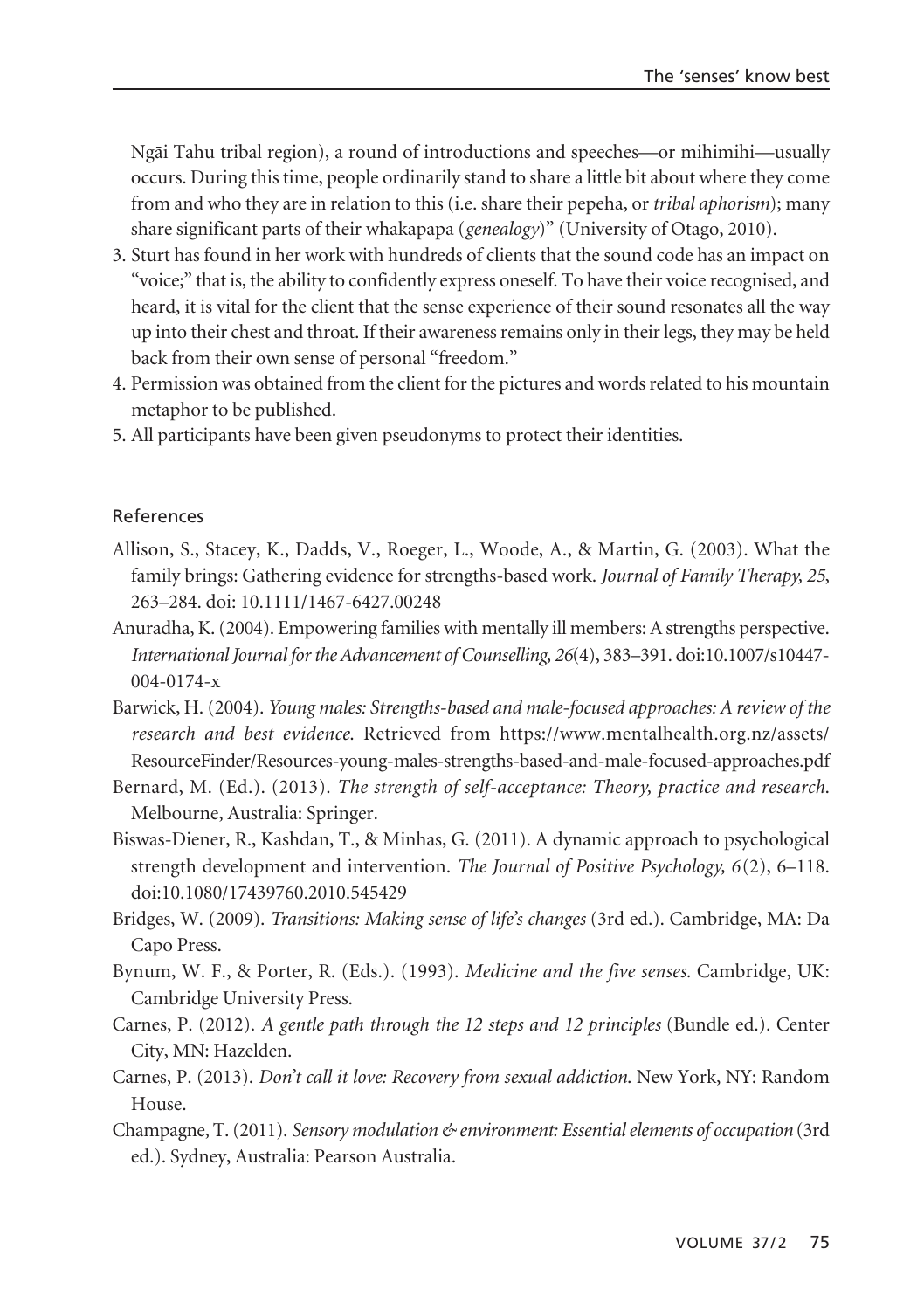Ngäi Tahu tribal region), a round of introductions and speeches—or mihimihi—usually occurs. During this time, people ordinarily stand to share a little bit about where they come from and who they are in relation to this (i.e. share their pepeha, or*tribal aphorism*); many share significant parts of their whakapapa (*genealogy*)" (University of Otago, 2010).

- 3. Sturt has found in her work with hundreds of clients that the sound code has an impact on "voice;" that is, the ability to confidently express oneself. To have their voice recognised, and heard, it is vital for the client that the sense experience of their sound resonates all the way up into their chest and throat. If their awareness remains only in their legs, they may be held back from their own sense of personal "freedom."
- 4. Permission was obtained from the client for the pictures and words related to his mountain metaphor to be published.
- 5. All participants have been given pseudonyms to protect their identities.

#### References

- Allison, S., Stacey, K., Dadds, V., Roeger, L., Woode, A., & Martin, G. (2003). What the family brings: Gathering evidence for strengths-based work. *Journal of Family Therapy, 25*, 263–284. doi: 10.1111/1467-6427.00248
- Anuradha, K. (2004). Empowering families with mentally ill members: A strengths perspective. *International Journal for the Advancement of Counselling, 26*(4), 383–391. doi:10.1007/s10447- 004-0174-x
- Barwick, H. (2004). *Young males: Strengths-based and male-focused approaches: A review of the research and best evidence*. Retrieved from https://www.mentalhealth.org.nz/assets/ ResourceFinder/Resources-young-males-strengths-based-and-male-focused-approaches.pdf
- Bernard, M. (Ed.). (2013). *The strength of self-acceptance: Theory, practice and research*. Melbourne, Australia: Springer.
- Biswas-Diener, R., Kashdan, T., & Minhas, G. (2011). A dynamic approach to psychological strength development and intervention. *The Journal of Positive Psychology, 6*(2), 6–118. doi:10.1080/17439760.2010.545429
- Bridges, W. (2009). *Transitions: Making sense of life's changes* (3rd ed.). Cambridge, MA: Da Capo Press.
- Bynum, W. F., & Porter, R. (Eds.). (1993). *Medicine and the five senses.* Cambridge, UK: Cambridge University Press.
- Carnes, P. (2012). *A gentle path through the 12 steps and 12 principles* (Bundle ed.). Center City, MN: Hazelden.
- Carnes, P. (2013). *Don't call it love: Recovery from sexual addiction*. New York, NY: Random House.
- Champagne, T. (2011). *Sensory modulation & environment: Essential elements of occupation* (3rd ed.). Sydney, Australia: Pearson Australia.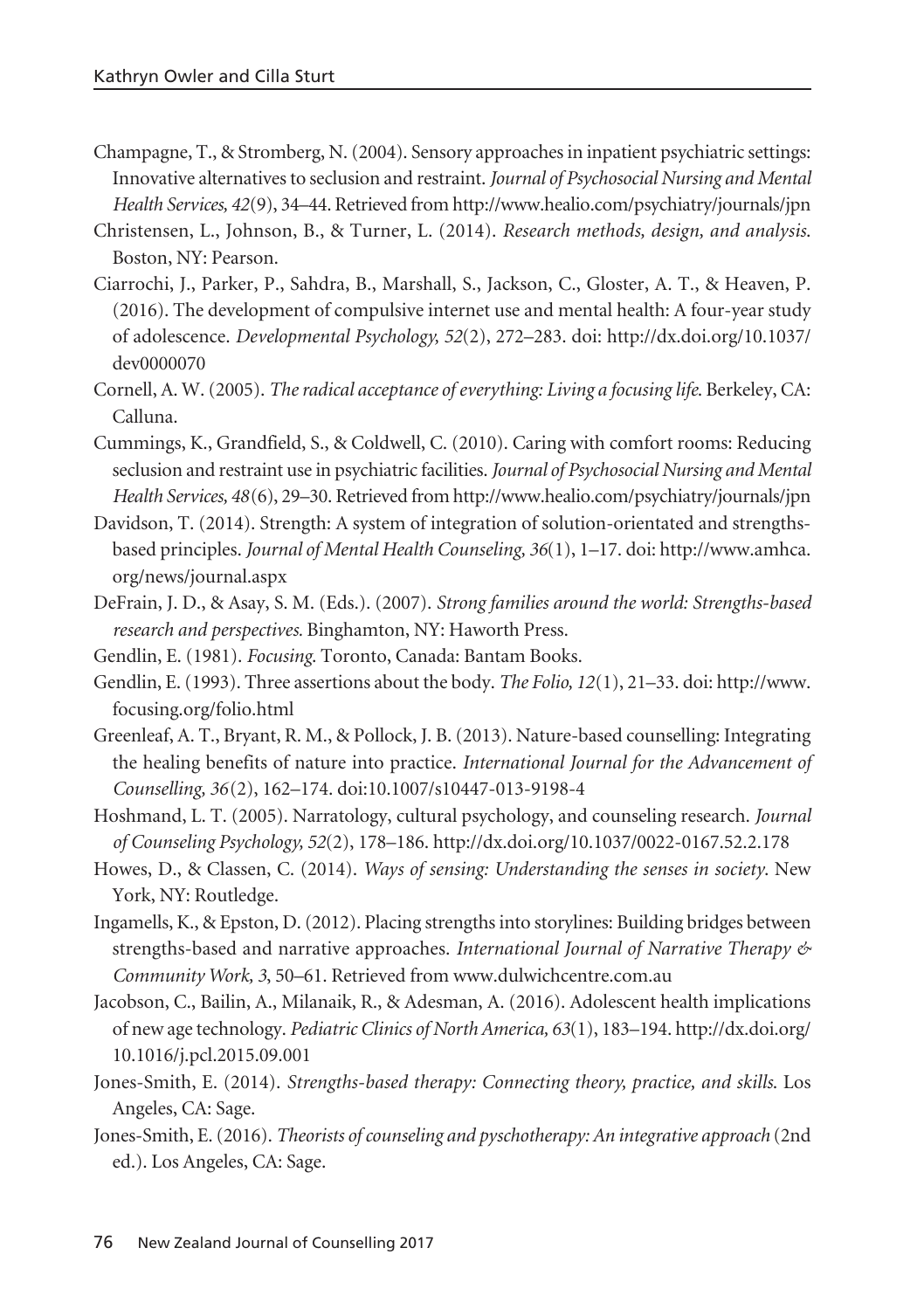- Champagne, T., & Stromberg, N. (2004). Sensory approaches in inpatient psychiatric settings: Innovative alternatives to seclusion and restraint. *Journal of Psychosocial Nursing and Mental Health Services, 42*(9), 34–44. Retrieved from http://www.healio.com/psychiatry/journals/jpn
- Christensen, L., Johnson, B., & Turner, L. (2014). *Research methods, design, and analysis*. Boston, NY: Pearson.
- Ciarrochi, J., Parker, P., Sahdra, B., Marshall, S., Jackson, C., Gloster, A. T., & Heaven, P. (2016). The development of compulsive internet use and mental health: A four-year study of adolescence. *Developmental Psychology, 52*(2), 272–283. doi: http://dx.doi.org/10.1037/ dev0000070
- Cornell, A. W. (2005). *The radical acceptance of everything: Living a focusing life*. Berkeley, CA: Calluna.
- Cummings, K., Grandfield, S., & Coldwell, C. (2010). Caring with comfort rooms: Reducing seclusion and restraint use in psychiatric facilities. *Journal of Psychosocial Nursing and Mental Health Services, 48*(6), 29–30. Retrieved from http://www.healio.com/psychiatry/journals/jpn
- Davidson, T. (2014). Strength: A system of integration of solution-orientated and strengthsbased principles. *Journal of Mental Health Counseling, 36*(1), 1–17. doi: http://www.amhca. org/news/journal.aspx
- DeFrain, J. D., & Asay, S. M. (Eds.). (2007). *Strong families around the world: Strengths-based research and perspectives.* Binghamton, NY: Haworth Press.
- Gendlin, E. (1981). *Focusing*. Toronto, Canada: Bantam Books.
- Gendlin, E. (1993). Three assertions about the body. *The Folio, 12*(1), 21–33. doi: http://www. focusing.org/folio.html
- Greenleaf, A. T., Bryant, R. M., & Pollock, J. B. (2013). Nature-based counselling: Integrating the healing benefits of nature into practice. *International Journal for the Advancement of Counselling, 36*(2), 162–174. doi:10.1007/s10447-013-9198-4
- Hoshmand, L. T. (2005). Narratology, cultural psychology, and counseling research. *Journal of Counseling Psychology, 52*(2), 178–186. http://dx.doi.org/10.1037/0022-0167.52.2.178
- Howes, D., & Classen, C. (2014). *Ways of sensing: Understanding the senses in society*. New York, NY: Routledge.
- Ingamells, K., & Epston, D. (2012). Placing strengths into storylines: Building bridges between strengths-based and narrative approaches. *International Journal of Narrative Therapy & Community Work, 3*, 50–61. Retrieved from www.dulwichcentre.com.au
- Jacobson, C., Bailin, A., Milanaik, R., & Adesman, A. (2016). Adolescent health implications of new age technology. *Pediatric Clinics of North America, 63*(1), 183–194. http://dx.doi.org/ 10.1016/j.pcl.2015.09.001
- Jones-Smith, E. (2014). *Strengths-based therapy: Connecting theory, practice, and skills*. Los Angeles, CA: Sage.
- Jones-Smith, E. (2016). *Theorists of counseling and pyschotherapy: An integrative approach* (2nd ed.). Los Angeles, CA: Sage.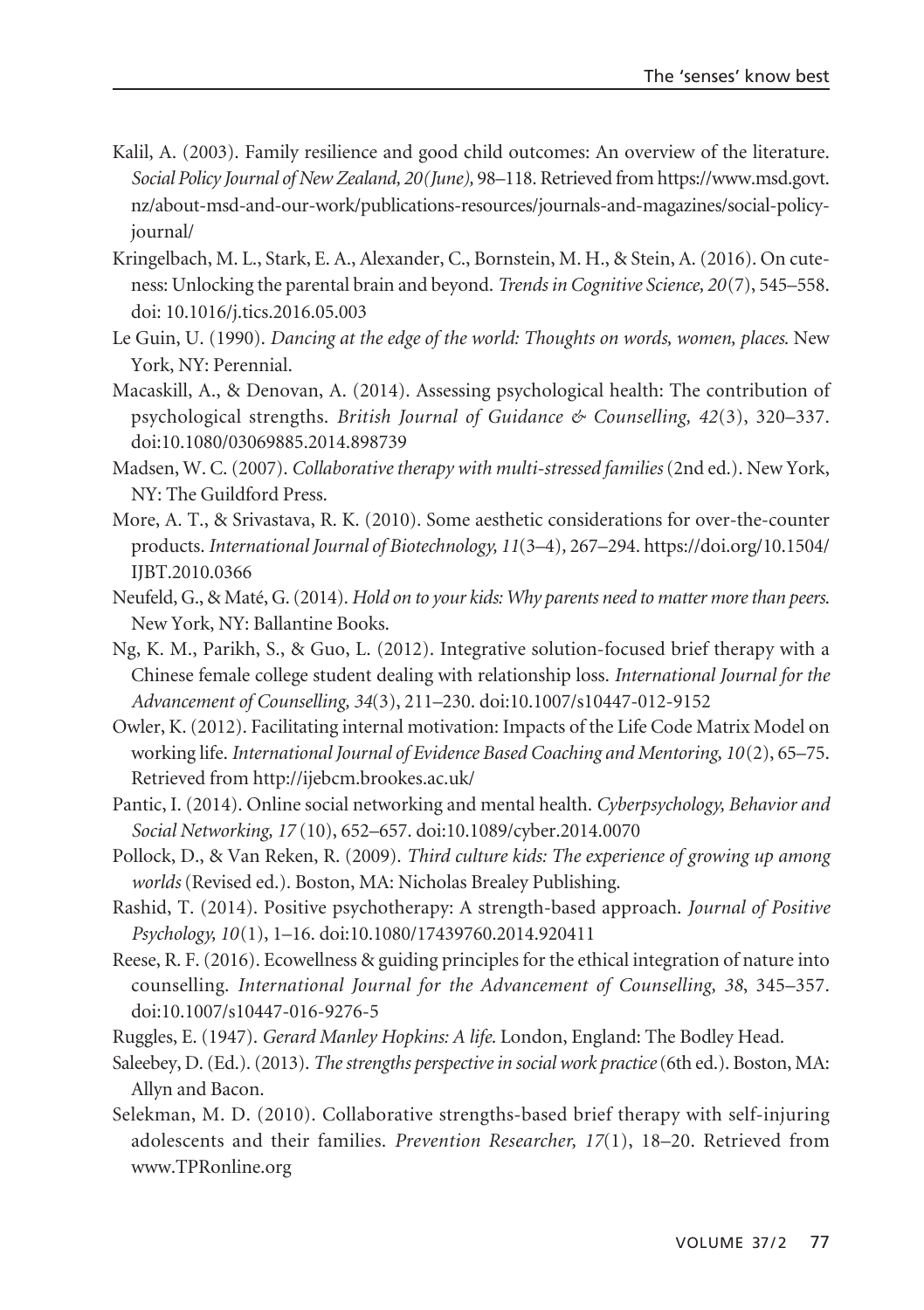- Kalil, A. (2003). Family resilience and good child outcomes: An overview of the literature. *Social Policy Journal of New Zealand, 20(June),* 98–118. Retrieved from https://www.msd.govt. nz/about-msd-and-our-work/publications-resources/journals-and-magazines/social-policyjournal/
- Kringelbach, M. L., Stark, E. A., Alexander, C., Bornstein, M. H., & Stein, A. (2016). On cuteness: Unlocking the parental brain and beyond. *Trends in Cognitive Science, 20*(7), 545–558. doi: 10.1016/j.tics.2016.05.003
- Le Guin, U. (1990). *Dancing at the edge of the world: Thoughts on words, women, places*. New York, NY: Perennial.
- Macaskill, A., & Denovan, A. (2014). Assessing psychological health: The contribution of psychological strengths. *British Journal of Guidance & Counselling, 42*(3), 320–337. doi:10.1080/03069885.2014.898739
- Madsen, W. C. (2007). *Collaborative therapy with multi-stressed families*(2nd ed.). New York, NY: The Guildford Press.
- More, A. T., & Srivastava, R. K. (2010). Some aesthetic considerations for over-the-counter products. *International Journal of Biotechnology, 11*(3–4)*,* 267–294. https://doi.org/10.1504/ IJBT.2010.0366
- Neufeld, G., & Maté, G. (2014). *Hold on to your kids: Why parents need to matter more than peers*. New York, NY: Ballantine Books.
- Ng, K. M., Parikh, S., & Guo, L. (2012). Integrative solution-focused brief therapy with a Chinese female college student dealing with relationship loss. *International Journal for the Advancement of Counselling, 34*(3), 211–230. doi:10.1007/s10447-012-9152
- Owler, K. (2012). Facilitating internal motivation: Impacts of the Life Code Matrix Model on working life. *International Journal of Evidence Based Coaching and Mentoring, 10*(2), 65–75. Retrieved from http://ijebcm.brookes.ac.uk/
- Pantic, I. (2014). Online social networking and mental health. *Cyberpsychology, Behavior and Social Networking, 17* (10), 652–657. doi:10.1089/cyber.2014.0070
- Pollock, D., & Van Reken, R. (2009). *Third culture kids: The experience of growing up among worlds* (Revised ed.). Boston, MA: Nicholas Brealey Publishing.
- Rashid, T. (2014). Positive psychotherapy: A strength-based approach. *Journal of Positive Psychology, 10*(1), 1–16. doi:10.1080/17439760.2014.920411
- Reese, R. F. (2016). Ecowellness & guiding principles for the ethical integration of nature into counselling. *International Journal for the Advancement of Counselling, 38*, 345–357. doi:10.1007/s10447-016-9276-5
- Ruggles, E. (1947). *Gerard Manley Hopkins: A life*. London, England: The Bodley Head.
- Saleebey, D. (Ed.). (2013). *The strengths perspective in social work practice*(6th ed.). Boston, MA: Allyn and Bacon.
- Selekman, M. D. (2010). Collaborative strengths-based brief therapy with self-injuring adolescents and their families. *Prevention Researcher, 17*(1), 18–20. Retrieved from www.TPRonline.org